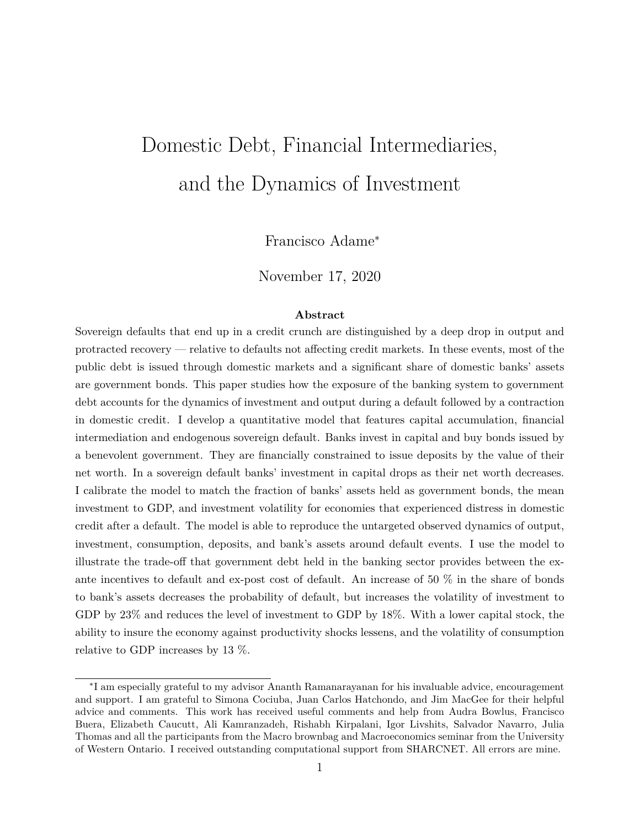# Domestic Debt, Financial Intermediaries, and the Dynamics of Investment

Francisco Adame<sup>∗</sup>

November 17, 2020

#### **Abstract**

Sovereign defaults that end up in a credit crunch are distinguished by a deep drop in output and protracted recovery — relative to defaults not affecting credit markets. In these events, most of the public debt is issued through domestic markets and a significant share of domestic banks' assets are government bonds. This paper studies how the exposure of the banking system to government debt accounts for the dynamics of investment and output during a default followed by a contraction in domestic credit. I develop a quantitative model that features capital accumulation, financial intermediation and endogenous sovereign default. Banks invest in capital and buy bonds issued by a benevolent government. They are financially constrained to issue deposits by the value of their net worth. In a sovereign default banks' investment in capital drops as their net worth decreases. I calibrate the model to match the fraction of banks' assets held as government bonds, the mean investment to GDP, and investment volatility for economies that experienced distress in domestic credit after a default. The model is able to reproduce the untargeted observed dynamics of output, investment, consumption, deposits, and bank's assets around default events. I use the model to illustrate the trade-off that government debt held in the banking sector provides between the exante incentives to default and ex-post cost of default. An increase of 50 % in the share of bonds to bank's assets decreases the probability of default, but increases the volatility of investment to GDP by 23% and reduces the level of investment to GDP by 18%. With a lower capital stock, the ability to insure the economy against productivity shocks lessens, and the volatility of consumption relative to GDP increases by 13 %.

<sup>∗</sup> I am especially grateful to my advisor Ananth Ramanarayanan for his invaluable advice, encouragement and support. I am grateful to Simona Cociuba, Juan Carlos Hatchondo, and Jim MacGee for their helpful advice and comments. This work has received useful comments and help from Audra Bowlus, Francisco Buera, Elizabeth Caucutt, Ali Kamranzadeh, Rishabh Kirpalani, Igor Livshits, Salvador Navarro, Julia Thomas and all the participants from the Macro brownbag and Macroeconomics seminar from the University of Western Ontario. I received outstanding computational support from SHARCNET. All errors are mine.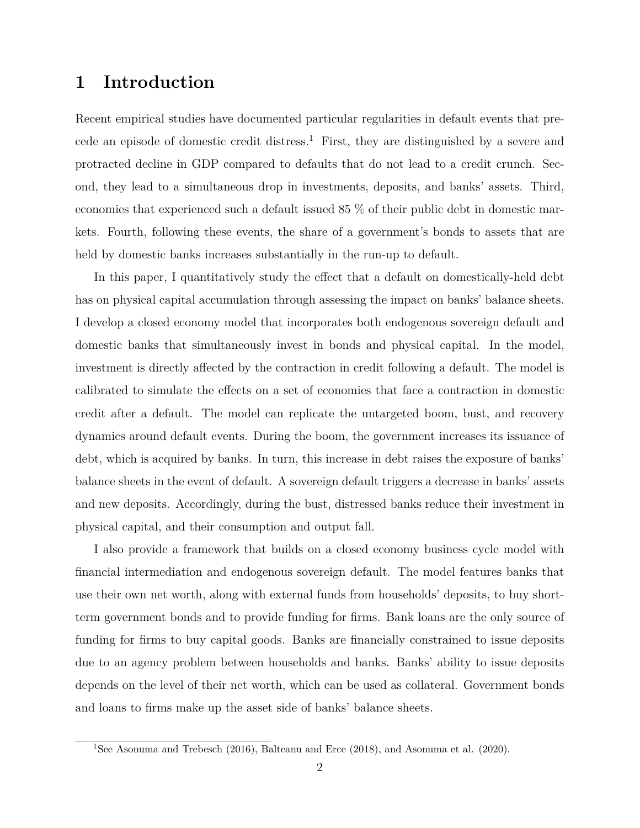## **1 Introduction**

Recent empirical studies have documented particular regularities in default events that precede an episode of domestic credit distress.<sup>1</sup> First, they are distinguished by a severe and protracted decline in GDP compared to defaults that do not lead to a credit crunch. Second, they lead to a simultaneous drop in investments, deposits, and banks' assets. Third, economies that experienced such a default issued 85 % of their public debt in domestic markets. Fourth, following these events, the share of a government's bonds to assets that are held by domestic banks increases substantially in the run-up to default.

In this paper, I quantitatively study the effect that a default on domestically-held debt has on physical capital accumulation through assessing the impact on banks' balance sheets. I develop a closed economy model that incorporates both endogenous sovereign default and domestic banks that simultaneously invest in bonds and physical capital. In the model, investment is directly affected by the contraction in credit following a default. The model is calibrated to simulate the effects on a set of economies that face a contraction in domestic credit after a default. The model can replicate the untargeted boom, bust, and recovery dynamics around default events. During the boom, the government increases its issuance of debt, which is acquired by banks. In turn, this increase in debt raises the exposure of banks' balance sheets in the event of default. A sovereign default triggers a decrease in banks' assets and new deposits. Accordingly, during the bust, distressed banks reduce their investment in physical capital, and their consumption and output fall.

I also provide a framework that builds on a closed economy business cycle model with financial intermediation and endogenous sovereign default. The model features banks that use their own net worth, along with external funds from households' deposits, to buy shortterm government bonds and to provide funding for firms. Bank loans are the only source of funding for firms to buy capital goods. Banks are financially constrained to issue deposits due to an agency problem between households and banks. Banks' ability to issue deposits depends on the level of their net worth, which can be used as collateral. Government bonds and loans to firms make up the asset side of banks' balance sheets.

<sup>&</sup>lt;sup>1</sup>See Asonuma and Trebesch (2016), Balteanu and Erce (2018), and Asonuma et al. (2020).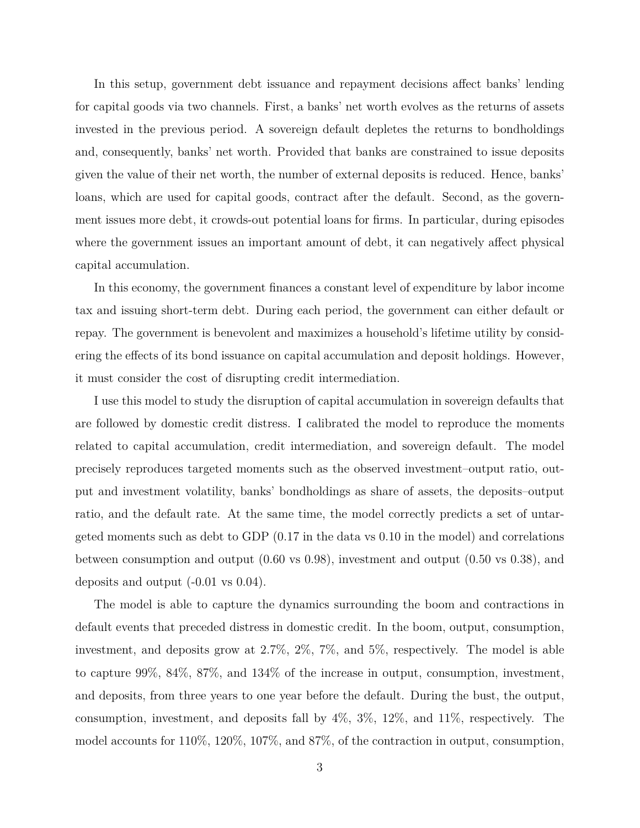In this setup, government debt issuance and repayment decisions affect banks' lending for capital goods via two channels. First, a banks' net worth evolves as the returns of assets invested in the previous period. A sovereign default depletes the returns to bondholdings and, consequently, banks' net worth. Provided that banks are constrained to issue deposits given the value of their net worth, the number of external deposits is reduced. Hence, banks' loans, which are used for capital goods, contract after the default. Second, as the government issues more debt, it crowds-out potential loans for firms. In particular, during episodes where the government issues an important amount of debt, it can negatively affect physical capital accumulation.

In this economy, the government finances a constant level of expenditure by labor income tax and issuing short-term debt. During each period, the government can either default or repay. The government is benevolent and maximizes a household's lifetime utility by considering the effects of its bond issuance on capital accumulation and deposit holdings. However, it must consider the cost of disrupting credit intermediation.

I use this model to study the disruption of capital accumulation in sovereign defaults that are followed by domestic credit distress. I calibrated the model to reproduce the moments related to capital accumulation, credit intermediation, and sovereign default. The model precisely reproduces targeted moments such as the observed investment–output ratio, output and investment volatility, banks' bondholdings as share of assets, the deposits–output ratio, and the default rate. At the same time, the model correctly predicts a set of untargeted moments such as debt to GDP (0.17 in the data vs 0.10 in the model) and correlations between consumption and output (0.60 vs 0.98), investment and output (0.50 vs 0.38), and deposits and output (-0.01 vs 0.04).

The model is able to capture the dynamics surrounding the boom and contractions in default events that preceded distress in domestic credit. In the boom, output, consumption, investment, and deposits grow at 2*.*7%, 2%, 7%, and 5%, respectively. The model is able to capture 99%, 84%, 87%, and 134% of the increase in output, consumption, investment, and deposits, from three years to one year before the default. During the bust, the output, consumption, investment, and deposits fall by 4%, 3%, 12%, and 11%, respectively. The model accounts for 110%, 120%, 107%, and 87%, of the contraction in output, consumption,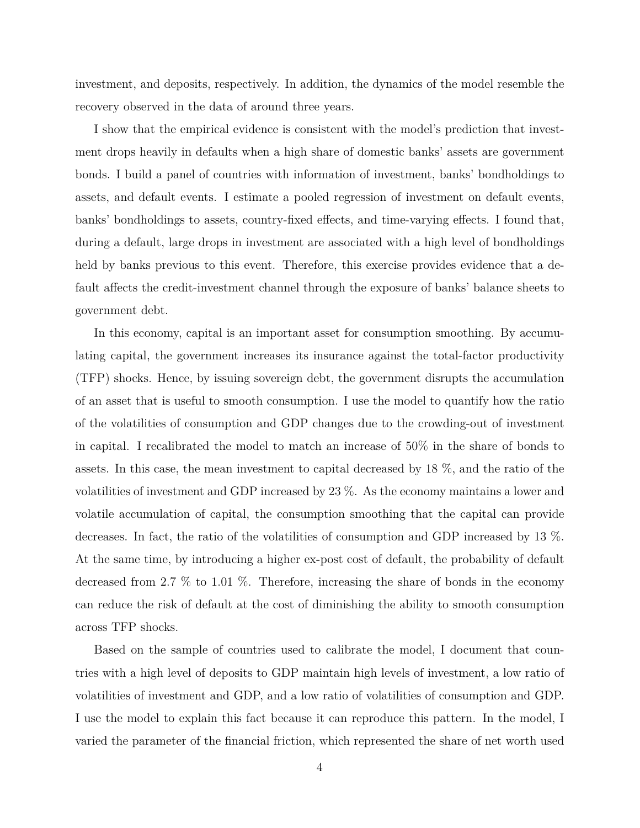investment, and deposits, respectively. In addition, the dynamics of the model resemble the recovery observed in the data of around three years.

I show that the empirical evidence is consistent with the model's prediction that investment drops heavily in defaults when a high share of domestic banks' assets are government bonds. I build a panel of countries with information of investment, banks' bondholdings to assets, and default events. I estimate a pooled regression of investment on default events, banks' bondholdings to assets, country-fixed effects, and time-varying effects. I found that, during a default, large drops in investment are associated with a high level of bondholdings held by banks previous to this event. Therefore, this exercise provides evidence that a default affects the credit-investment channel through the exposure of banks' balance sheets to government debt.

In this economy, capital is an important asset for consumption smoothing. By accumulating capital, the government increases its insurance against the total-factor productivity (TFP) shocks. Hence, by issuing sovereign debt, the government disrupts the accumulation of an asset that is useful to smooth consumption. I use the model to quantify how the ratio of the volatilities of consumption and GDP changes due to the crowding-out of investment in capital. I recalibrated the model to match an increase of 50% in the share of bonds to assets. In this case, the mean investment to capital decreased by 18 %, and the ratio of the volatilities of investment and GDP increased by 23 %. As the economy maintains a lower and volatile accumulation of capital, the consumption smoothing that the capital can provide decreases. In fact, the ratio of the volatilities of consumption and GDP increased by 13 %. At the same time, by introducing a higher ex-post cost of default, the probability of default decreased from 2.7 % to 1.01 %. Therefore, increasing the share of bonds in the economy can reduce the risk of default at the cost of diminishing the ability to smooth consumption across TFP shocks.

Based on the sample of countries used to calibrate the model, I document that countries with a high level of deposits to GDP maintain high levels of investment, a low ratio of volatilities of investment and GDP, and a low ratio of volatilities of consumption and GDP. I use the model to explain this fact because it can reproduce this pattern. In the model, I varied the parameter of the financial friction, which represented the share of net worth used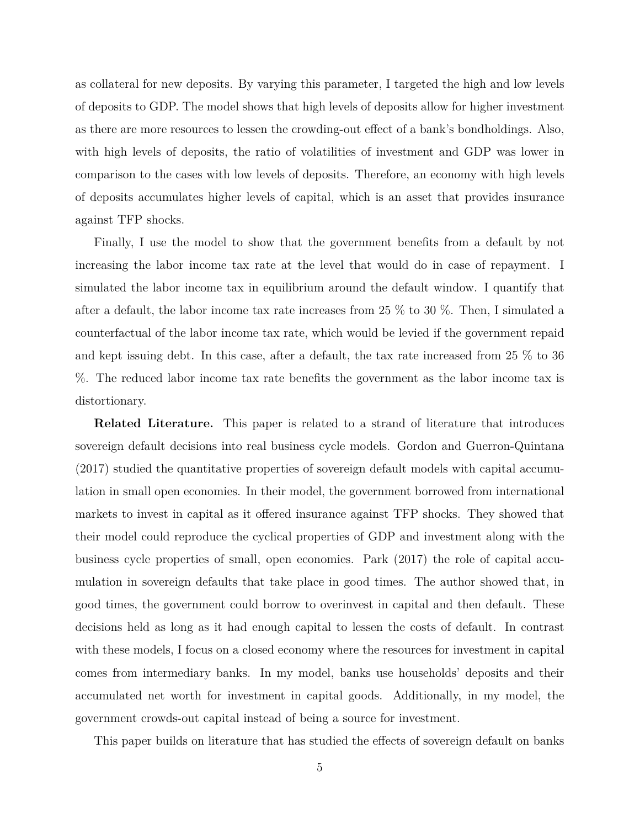as collateral for new deposits. By varying this parameter, I targeted the high and low levels of deposits to GDP. The model shows that high levels of deposits allow for higher investment as there are more resources to lessen the crowding-out effect of a bank's bondholdings. Also, with high levels of deposits, the ratio of volatilities of investment and GDP was lower in comparison to the cases with low levels of deposits. Therefore, an economy with high levels of deposits accumulates higher levels of capital, which is an asset that provides insurance against TFP shocks.

Finally, I use the model to show that the government benefits from a default by not increasing the labor income tax rate at the level that would do in case of repayment. I simulated the labor income tax in equilibrium around the default window. I quantify that after a default, the labor income tax rate increases from 25 % to 30 %. Then, I simulated a counterfactual of the labor income tax rate, which would be levied if the government repaid and kept issuing debt. In this case, after a default, the tax rate increased from 25 % to 36 %. The reduced labor income tax rate benefits the government as the labor income tax is distortionary.

**Related Literature.** This paper is related to a strand of literature that introduces sovereign default decisions into real business cycle models. Gordon and Guerron-Quintana (2017) studied the quantitative properties of sovereign default models with capital accumulation in small open economies. In their model, the government borrowed from international markets to invest in capital as it offered insurance against TFP shocks. They showed that their model could reproduce the cyclical properties of GDP and investment along with the business cycle properties of small, open economies. Park (2017) the role of capital accumulation in sovereign defaults that take place in good times. The author showed that, in good times, the government could borrow to overinvest in capital and then default. These decisions held as long as it had enough capital to lessen the costs of default. In contrast with these models, I focus on a closed economy where the resources for investment in capital comes from intermediary banks. In my model, banks use households' deposits and their accumulated net worth for investment in capital goods. Additionally, in my model, the government crowds-out capital instead of being a source for investment.

This paper builds on literature that has studied the effects of sovereign default on banks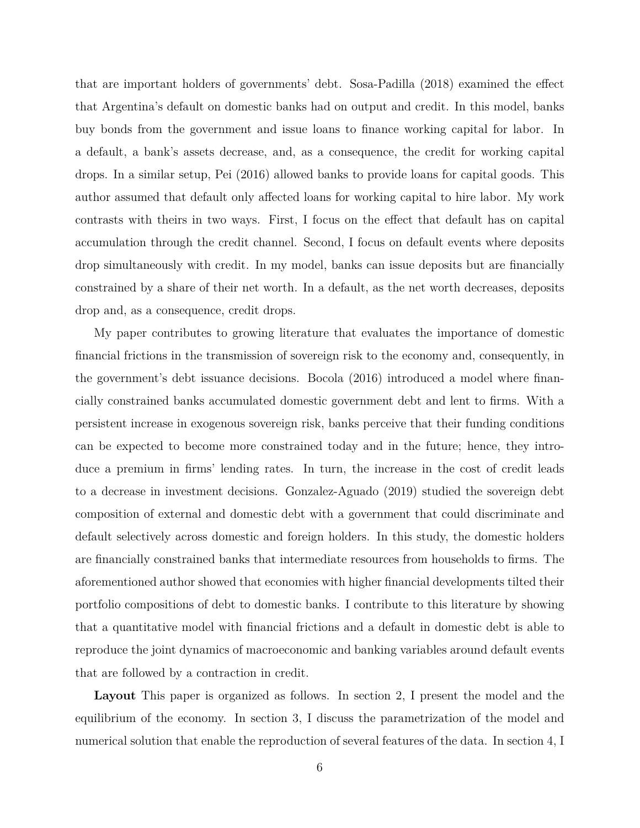that are important holders of governments' debt. Sosa-Padilla (2018) examined the effect that Argentina's default on domestic banks had on output and credit. In this model, banks buy bonds from the government and issue loans to finance working capital for labor. In a default, a bank's assets decrease, and, as a consequence, the credit for working capital drops. In a similar setup, Pei (2016) allowed banks to provide loans for capital goods. This author assumed that default only affected loans for working capital to hire labor. My work contrasts with theirs in two ways. First, I focus on the effect that default has on capital accumulation through the credit channel. Second, I focus on default events where deposits drop simultaneously with credit. In my model, banks can issue deposits but are financially constrained by a share of their net worth. In a default, as the net worth decreases, deposits drop and, as a consequence, credit drops.

My paper contributes to growing literature that evaluates the importance of domestic financial frictions in the transmission of sovereign risk to the economy and, consequently, in the government's debt issuance decisions. Bocola (2016) introduced a model where financially constrained banks accumulated domestic government debt and lent to firms. With a persistent increase in exogenous sovereign risk, banks perceive that their funding conditions can be expected to become more constrained today and in the future; hence, they introduce a premium in firms' lending rates. In turn, the increase in the cost of credit leads to a decrease in investment decisions. Gonzalez-Aguado (2019) studied the sovereign debt composition of external and domestic debt with a government that could discriminate and default selectively across domestic and foreign holders. In this study, the domestic holders are financially constrained banks that intermediate resources from households to firms. The aforementioned author showed that economies with higher financial developments tilted their portfolio compositions of debt to domestic banks. I contribute to this literature by showing that a quantitative model with financial frictions and a default in domestic debt is able to reproduce the joint dynamics of macroeconomic and banking variables around default events that are followed by a contraction in credit.

**Layout** This paper is organized as follows. In section 2, I present the model and the equilibrium of the economy. In section 3, I discuss the parametrization of the model and numerical solution that enable the reproduction of several features of the data. In section 4, I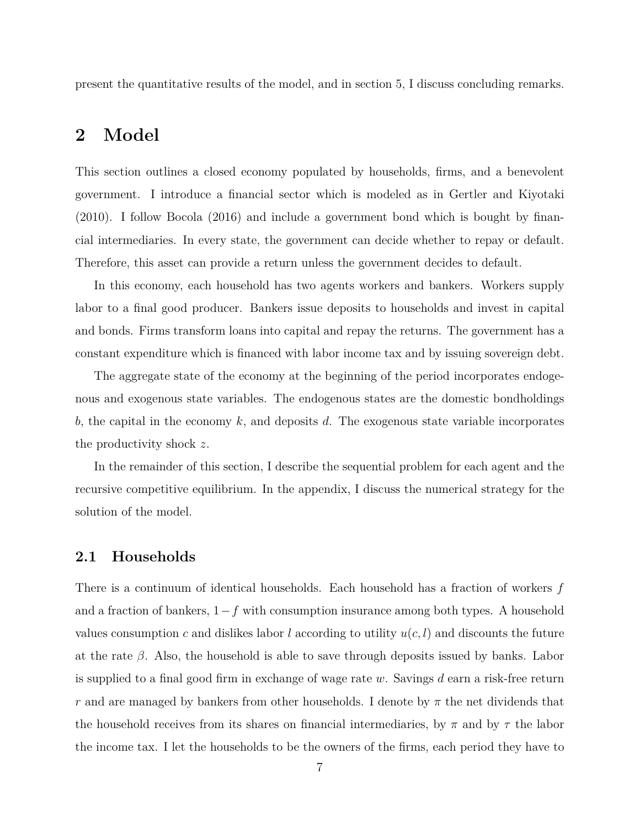present the quantitative results of the model, and in section 5, I discuss concluding remarks.

## **2 Model**

This section outlines a closed economy populated by households, firms, and a benevolent government. I introduce a financial sector which is modeled as in Gertler and Kiyotaki (2010). I follow Bocola (2016) and include a government bond which is bought by financial intermediaries. In every state, the government can decide whether to repay or default. Therefore, this asset can provide a return unless the government decides to default.

In this economy, each household has two agents workers and bankers. Workers supply labor to a final good producer. Bankers issue deposits to households and invest in capital and bonds. Firms transform loans into capital and repay the returns. The government has a constant expenditure which is financed with labor income tax and by issuing sovereign debt.

The aggregate state of the economy at the beginning of the period incorporates endogenous and exogenous state variables. The endogenous states are the domestic bondholdings *b*, the capital in the economy *k*, and deposits *d*. The exogenous state variable incorporates the productivity shock *z*.

In the remainder of this section, I describe the sequential problem for each agent and the recursive competitive equilibrium. In the appendix, I discuss the numerical strategy for the solution of the model.

#### **2.1 Households**

There is a continuum of identical households. Each household has a fraction of workers *f* and a fraction of bankers, 1*−f* with consumption insurance among both types. A household values consumption *c* and dislikes labor *l* according to utility  $u(c, l)$  and discounts the future at the rate *β*. Also, the household is able to save through deposits issued by banks. Labor is supplied to a final good firm in exchange of wage rate *w*. Savings *d* earn a risk-free return *r* and are managed by bankers from other households. I denote by *π* the net dividends that the household receives from its shares on financial intermediaries, by *π* and by *τ* the labor the income tax. I let the households to be the owners of the firms, each period they have to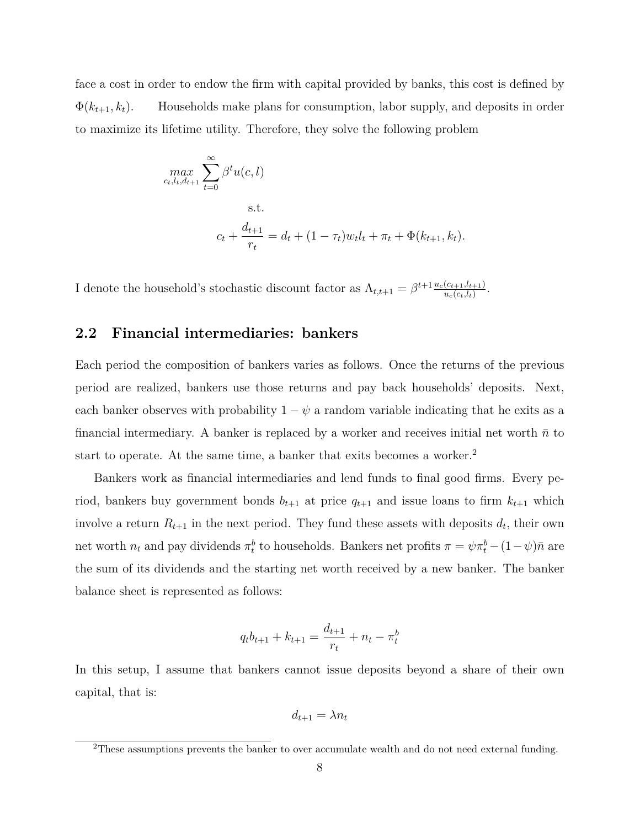face a cost in order to endow the firm with capital provided by banks, this cost is defined by  $\Phi(k_{t+1}, k_t)$ . Households make plans for consumption, labor supply, and deposits in order to maximize its lifetime utility. Therefore, they solve the following problem

$$
\max_{c_t, l_t, d_{t+1}} \sum_{t=0}^{\infty} \beta^t u(c, l)
$$
  
s.t.  

$$
c_t + \frac{d_{t+1}}{r_t} = d_t + (1 - \tau_t) w_t l_t + \pi_t + \Phi(k_{t+1}, k_t).
$$

I denote the household's stochastic discount factor as  $\Lambda_{t,t+1} = \beta^{t+1} \frac{u_c(c_{t+1},l_{t+1})}{u_c(c_{t},l_t)}$  $\frac{(c_{t+1},l_{t+1})}{u_c(c_t,l_t)}$ .

#### **2.2 Financial intermediaries: bankers**

Each period the composition of bankers varies as follows. Once the returns of the previous period are realized, bankers use those returns and pay back households' deposits. Next, each banker observes with probability  $1 - \psi$  a random variable indicating that he exits as a financial intermediary. A banker is replaced by a worker and receives initial net worth  $\bar{n}$  to start to operate. At the same time, a banker that exits becomes a worker.<sup>2</sup>

Bankers work as financial intermediaries and lend funds to final good firms. Every period, bankers buy government bonds  $b_{t+1}$  at price  $q_{t+1}$  and issue loans to firm  $k_{t+1}$  which involve a return  $R_{t+1}$  in the next period. They fund these assets with deposits  $d_t$ , their own net worth  $n_t$  and pay dividends  $\pi_t^b$  to households. Bankers net profits  $\pi = \psi \pi_t^b - (1 - \psi)\bar{n}$  are the sum of its dividends and the starting net worth received by a new banker. The banker balance sheet is represented as follows:

$$
q_t b_{t+1} + k_{t+1} = \frac{d_{t+1}}{r_t} + n_t - \pi_t^b
$$

In this setup, I assume that bankers cannot issue deposits beyond a share of their own capital, that is:

$$
d_{t+1} = \lambda n_t
$$

 $2$ These assumptions prevents the banker to over accumulate wealth and do not need external funding.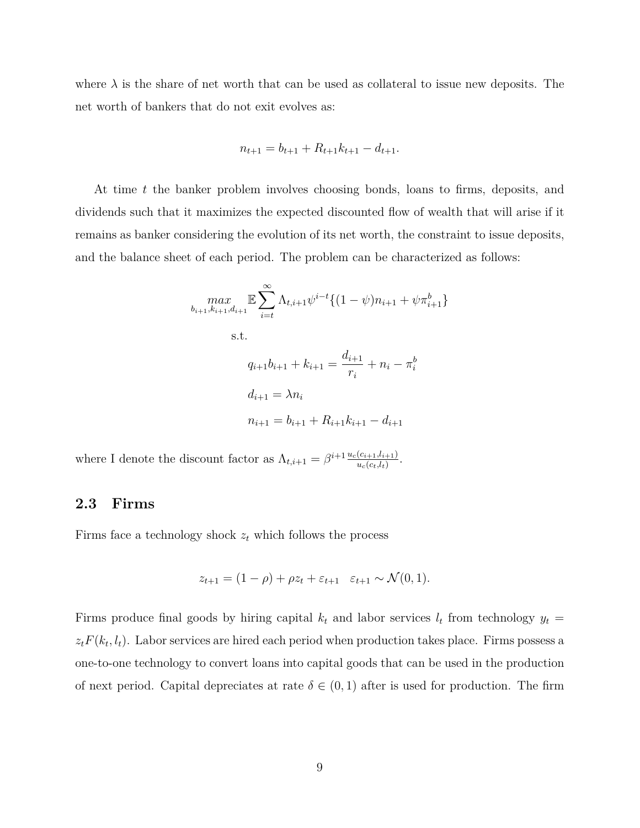where  $\lambda$  is the share of net worth that can be used as collateral to issue new deposits. The net worth of bankers that do not exit evolves as:

$$
n_{t+1} = b_{t+1} + R_{t+1}k_{t+1} - d_{t+1}.
$$

At time *t* the banker problem involves choosing bonds, loans to firms, deposits, and dividends such that it maximizes the expected discounted flow of wealth that will arise if it remains as banker considering the evolution of its net worth, the constraint to issue deposits, and the balance sheet of each period. The problem can be characterized as follows:

$$
\max_{b_{i+1}, k_{i+1}, d_{i+1}} \mathbb{E} \sum_{i=t}^{\infty} \Lambda_{t, i+1} \psi^{i-t} \{ (1 - \psi) n_{i+1} + \psi \pi_{i+1}^{b} \}
$$
  
s.t.  

$$
q_{i+1} b_{i+1} + k_{i+1} = \frac{d_{i+1}}{r_i} + n_i - \pi_i^b
$$

$$
d_{i+1} = \lambda n_i
$$

$$
n_{i+1} = b_{i+1} + R_{i+1} k_{i+1} - d_{i+1}
$$

where I denote the discount factor as  $\Lambda_{t,i+1} = \beta^{i+1} \frac{u_c(c_{i+1},l_{i+1})}{u_c(c_{i+1})}$  $\frac{(c_{i+1},l_{i+1})}{u_c(c_t,l_t)}$ .

#### **2.3 Firms**

Firms face a technology shock  $z_t$  which follows the process

$$
z_{t+1} = (1 - \rho) + \rho z_t + \varepsilon_{t+1} \quad \varepsilon_{t+1} \sim \mathcal{N}(0, 1).
$$

Firms produce final goods by hiring capital  $k_t$  and labor services  $l_t$  from technology  $y_t =$  $z_t F(k_t, l_t)$ . Labor services are hired each period when production takes place. Firms possess a one-to-one technology to convert loans into capital goods that can be used in the production of next period. Capital depreciates at rate  $\delta \in (0,1)$  after is used for production. The firm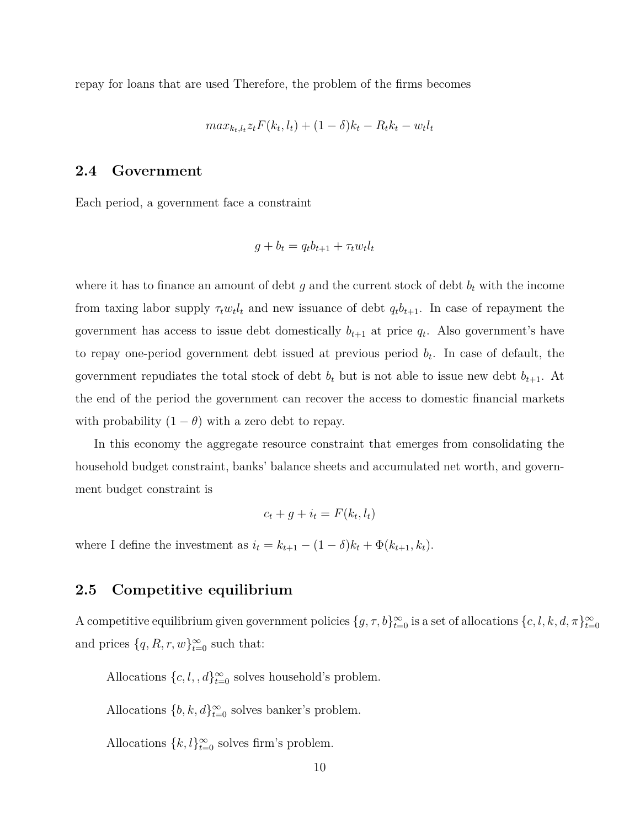repay for loans that are used Therefore, the problem of the firms becomes

$$
max_{k_t, l_t} z_t F(k_t, l_t) + (1 - \delta) k_t - R_t k_t - w_t l_t
$$

#### **2.4 Government**

Each period, a government face a constraint

$$
g + b_t = q_t b_{t+1} + \tau_t w_t l_t
$$

where it has to finance an amount of debt  $g$  and the current stock of debt  $b_t$  with the income from taxing labor supply  $\tau_t w_t l_t$  and new issuance of debt  $q_t b_{t+1}$ . In case of repayment the government has access to issue debt domestically  $b_{t+1}$  at price  $q_t$ . Also government's have to repay one-period government debt issued at previous period *b<sup>t</sup>* . In case of default, the government repudiates the total stock of debt  $b_t$  but is not able to issue new debt  $b_{t+1}$ . At the end of the period the government can recover the access to domestic financial markets with probability  $(1 - \theta)$  with a zero debt to repay.

In this economy the aggregate resource constraint that emerges from consolidating the household budget constraint, banks' balance sheets and accumulated net worth, and government budget constraint is

$$
c_t + g + i_t = F(k_t, l_t)
$$

where I define the investment as  $i_t = k_{t+1} - (1 - \delta)k_t + \Phi(k_{t+1}, k_t)$ .

#### **2.5 Competitive equilibrium**

A competitive equilibrium given government policies  $\{g, \tau, b\}^{\infty}_{t=0}$  is a set of allocations  $\{c, l, k, d, \pi\}^{\infty}_{t=0}$ and prices  $\{q, R, r, w\}_{t=0}^{\infty}$  such that:

Allocations  $\{c, l, d\}^{\infty}_{t=0}$  solves household's problem.

Allocations  $\{b, k, d\}^{\infty}_{t=0}$  solves banker's problem.

Allocations  $\{k, l\}_{t=0}^{\infty}$  solves firm's problem.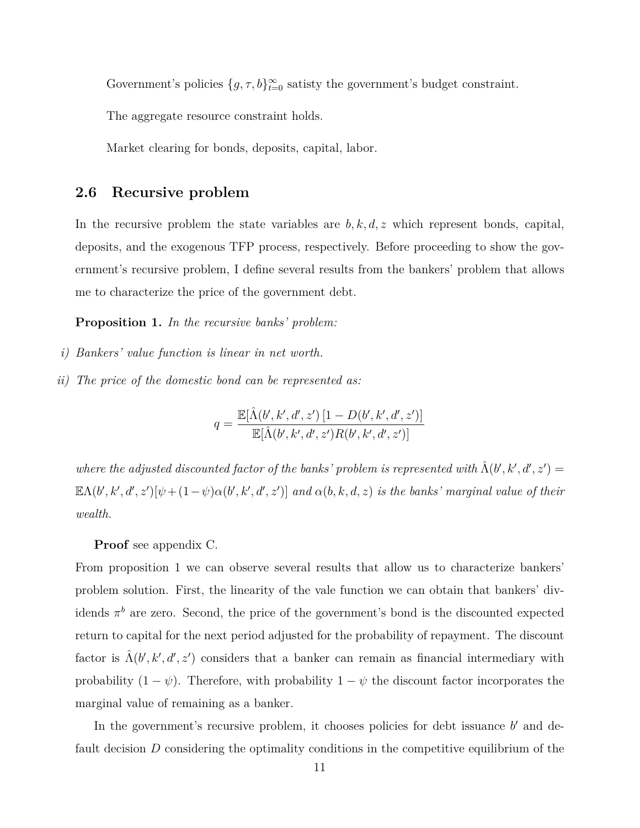Government's policies  $\{g, \tau, b\}_{t=0}^{\infty}$  satisty the government's budget constraint.

The aggregate resource constraint holds.

Market clearing for bonds, deposits, capital, labor.

#### **2.6 Recursive problem**

In the recursive problem the state variables are  $b, k, d, z$  which represent bonds, capital, deposits, and the exogenous TFP process, respectively. Before proceeding to show the government's recursive problem, I define several results from the bankers' problem that allows me to characterize the price of the government debt.

**Proposition 1.** *In the recursive banks' problem:*

- *i) Bankers' value function is linear in net worth.*
- *ii) The price of the domestic bond can be represented as:*

$$
q = \frac{\mathbb{E}[\hat{\Lambda}(b', k', d', z') [1 - D(b', k', d', z')]}{\mathbb{E}[\hat{\Lambda}(b', k', d', z') R(b', k', d', z')]}
$$

*where the adjusted discounted factor of the banks' problem is represented with*  $\hat{\Lambda}(b',k',d',z') =$  $\mathbb{E}\Lambda(b',k',d',z')[\psi+(1-\psi)\alpha(b',k',d',z')]$  and  $\alpha(b,k,d,z)$  is the banks' marginal value of their *wealth.*

#### **Proof** see appendix C.

From proposition 1 we can observe several results that allow us to characterize bankers' problem solution. First, the linearity of the vale function we can obtain that bankers' dividends *π <sup>b</sup>* are zero. Second, the price of the government's bond is the discounted expected return to capital for the next period adjusted for the probability of repayment. The discount factor is  $\hat{\Lambda}(b',k',d',z')$  considers that a banker can remain as financial intermediary with probability  $(1 - \psi)$ . Therefore, with probability  $1 - \psi$  the discount factor incorporates the marginal value of remaining as a banker.

In the government's recursive problem, it chooses policies for debt issuance *b'* and default decision *D* considering the optimality conditions in the competitive equilibrium of the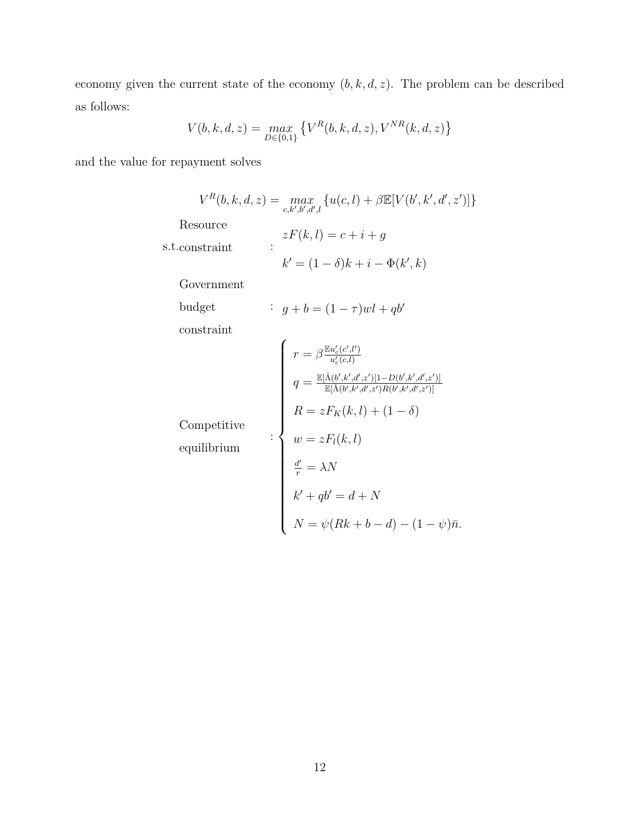economy given the current state of the economy  $(b, k, d, z)$ . The problem can be described as follows:

$$
V(b,k,d,z) = \max_{D \in \{0,1\}} \left\{ V^R(b,k,d,z), V^{NR}(k,d,z) \right\}
$$

and the value for repayment solves

$$
V^{R}(b, k, d, z) = \max_{c, k', b', d', l} \{u(c, l) + \beta \mathbb{E}[V(b', k', d', z')] \}
$$
  
Resource  
s.t.constraint  

$$
k' = (1 - \delta)k + i - \Phi(k', k)
$$
  
Government  
budget  
constraint  

$$
g + b = (1 - \tau)wl + qb'
$$
  
constraint  

$$
\begin{cases}\nr = \beta \frac{\mathbb{E}u'_{c}(c', l')}{u'_{c}(c, l)} \\
q = \frac{\mathbb{E}[\hat{\Lambda}(b', k', d', z')][1 - D(b', k', d', z')]}{\mathbb{E}[\hat{\Lambda}(b', k', d', z')][1 - D(b', k', d', z')]}\n\end{cases}
$$
  
Compute  
equilibrium  

$$
\vdots
$$

$$
\begin{cases}\nr = zF_{K}(k, l) + (1 - \delta) \\
w = zF_{l}(k, l) \\
\frac{d'}{r} = \lambda N \\
k' + qb' = d + N \\
N = \psi(Rk + b - d) - (1 - \psi)\bar{n}.\n\end{cases}
$$

12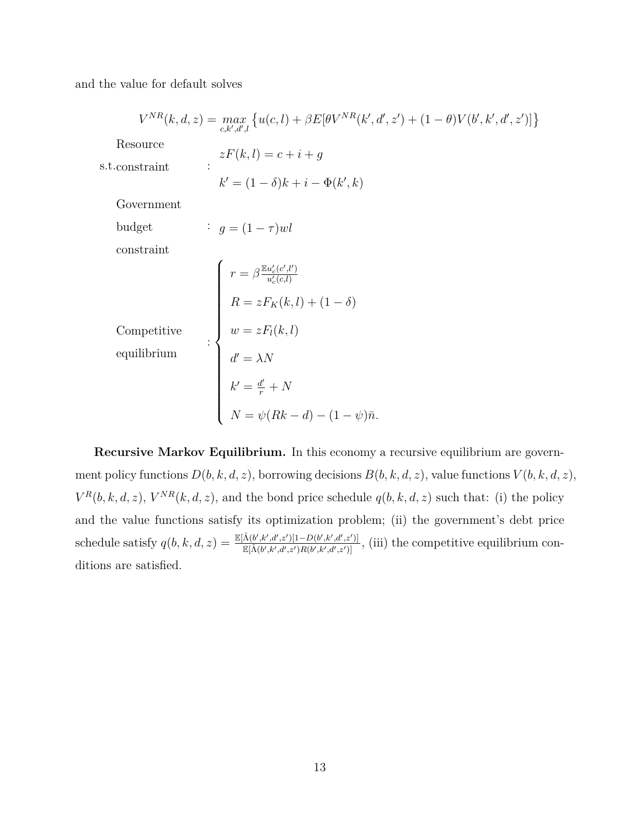and the value for default solves

$$
V^{NR}(k, d, z) = \max_{c, k', d', l} \{u(c, l) + \beta E[\theta V^{NR}(k', d', z') + (1 - \theta)V(b', k', d', z')] \}
$$
  
Resource  
s.t. constraint  

$$
zF(k, l) = c + i + g
$$

$$
k' = (1 - \delta)k + i - \Phi(k', k)
$$
  
Government  
budget  
constraint  

$$
g = (1 - \tau)wl
$$
  
constraint  

$$
r = \beta \frac{\mathbb{E}u_c'(c, l')}{u_c'(c, l)}
$$

$$
R = zF_K(k, l) + (1 - \delta)
$$
  
Competitive  

$$
w = zF_l(k, l)
$$

$$
d' = \lambda N
$$

$$
k' = \frac{d'}{r} + N
$$

$$
N = \psi(Rk - d) - (1 - \psi)\bar{n}.
$$

**Recursive Markov Equilibrium.** In this economy a recursive equilibrium are government policy functions  $D(b, k, d, z)$ , borrowing decisions  $B(b, k, d, z)$ , value functions  $V(b, k, d, z)$ ,  $V^R(b, k, d, z)$ ,  $V^{NR}(k, d, z)$ , and the bond price schedule  $q(b, k, d, z)$  such that: (i) the policy and the value functions satisfy its optimization problem; (ii) the government's debt price  $\text{schedule satisfy } q(b, k, d, z) = \frac{\mathbb{E}[\hat{\Lambda}(b', k', d', z')][-D(b', k', d', z')] }{\mathbb{E}[\hat{\Lambda}(b', k', d', z')] [L - D(b', k', d', z')]}.$  $\frac{\Lambda(b',k',d',z')[1-D(b',k',d',z')]}{\Lambda(b',k',d',z')R(b',k',d',z')},$  (iii) the competitive equilibrium conditions are satisfied.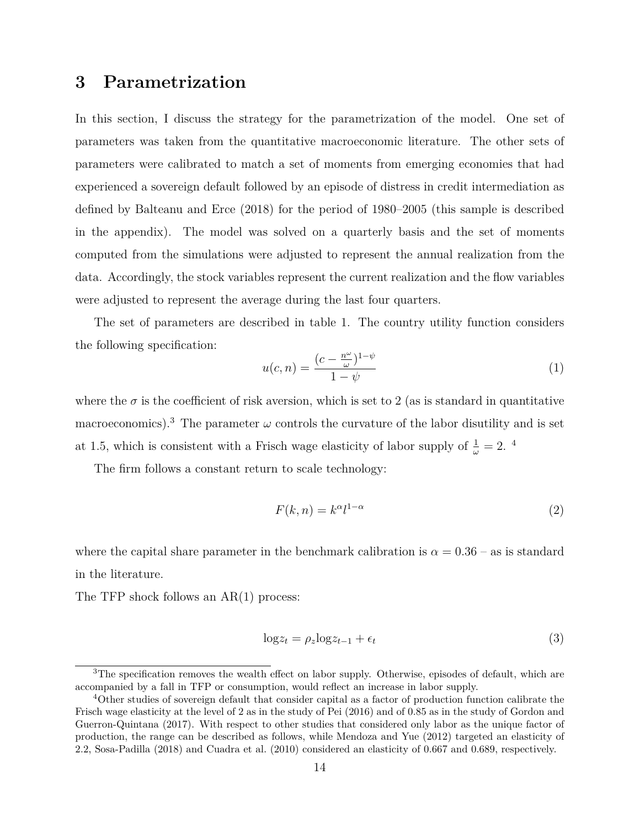## **3 Parametrization**

In this section, I discuss the strategy for the parametrization of the model. One set of parameters was taken from the quantitative macroeconomic literature. The other sets of parameters were calibrated to match a set of moments from emerging economies that had experienced a sovereign default followed by an episode of distress in credit intermediation as defined by Balteanu and Erce (2018) for the period of 1980–2005 (this sample is described in the appendix). The model was solved on a quarterly basis and the set of moments computed from the simulations were adjusted to represent the annual realization from the data. Accordingly, the stock variables represent the current realization and the flow variables were adjusted to represent the average during the last four quarters.

The set of parameters are described in table 1. The country utility function considers the following specification:

$$
u(c,n) = \frac{(c - \frac{n^{\omega}}{\omega})^{1-\psi}}{1-\psi}
$$
\n(1)

where the  $\sigma$  is the coefficient of risk aversion, which is set to 2 (as is standard in quantitative macroeconomics).<sup>3</sup> The parameter  $\omega$  controls the curvature of the labor disutility and is set at 1.5, which is consistent with a Frisch wage elasticity of labor supply of  $\frac{1}{\omega} = 2$ .<sup>4</sup>

The firm follows a constant return to scale technology:

$$
F(k,n) = k^{\alpha} l^{1-\alpha} \tag{2}
$$

where the capital share parameter in the benchmark calibration is  $\alpha = 0.36$  – as is standard in the literature.

The TFP shock follows an AR(1) process:

$$
\log z_t = \rho_z \log z_{t-1} + \epsilon_t \tag{3}
$$

<sup>&</sup>lt;sup>3</sup>The specification removes the wealth effect on labor supply. Otherwise, episodes of default, which are accompanied by a fall in TFP or consumption, would reflect an increase in labor supply.

<sup>&</sup>lt;sup>4</sup>Other studies of sovereign default that consider capital as a factor of production function calibrate the Frisch wage elasticity at the level of 2 as in the study of Pei (2016) and of 0.85 as in the study of Gordon and Guerron-Quintana (2017). With respect to other studies that considered only labor as the unique factor of production, the range can be described as follows, while Mendoza and Yue (2012) targeted an elasticity of 2.2, Sosa-Padilla (2018) and Cuadra et al. (2010) considered an elasticity of 0.667 and 0.689, respectively.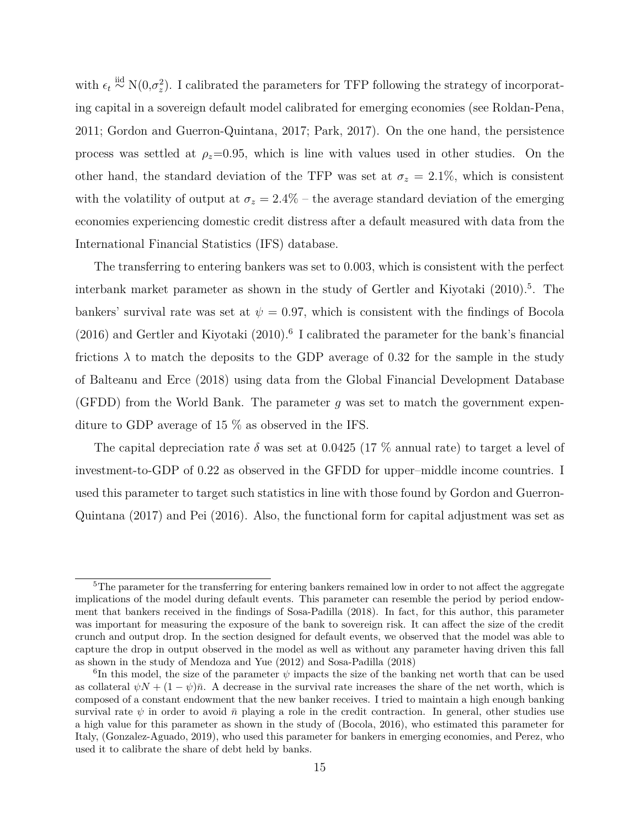with  $\epsilon_t \stackrel{\text{iid}}{\sim} N(0, \sigma_z^2)$ . I calibrated the parameters for TFP following the strategy of incorporating capital in a sovereign default model calibrated for emerging economies (see Roldan-Pena, 2011; Gordon and Guerron-Quintana, 2017; Park, 2017). On the one hand, the persistence process was settled at  $\rho_z = 0.95$ , which is line with values used in other studies. On the other hand, the standard deviation of the TFP was set at  $\sigma_z = 2.1\%$ , which is consistent with the volatility of output at  $\sigma_z = 2.4\%$  – the average standard deviation of the emerging economies experiencing domestic credit distress after a default measured with data from the International Financial Statistics (IFS) database.

The transferring to entering bankers was set to 0.003, which is consistent with the perfect interbank market parameter as shown in the study of Gertler and Kiyotaki (2010).<sup>5</sup>. The bankers' survival rate was set at  $\psi = 0.97$ , which is consistent with the findings of Bocola  $(2016)$  and Gertler and Kiyotaki  $(2010)$ .<sup>6</sup> I calibrated the parameter for the bank's financial frictions  $\lambda$  to match the deposits to the GDP average of 0.32 for the sample in the study of Balteanu and Erce (2018) using data from the Global Financial Development Database (GFDD) from the World Bank. The parameter *g* was set to match the government expenditure to GDP average of 15 % as observed in the IFS.

The capital depreciation rate  $\delta$  was set at 0.0425 (17 % annual rate) to target a level of investment-to-GDP of 0.22 as observed in the GFDD for upper–middle income countries. I used this parameter to target such statistics in line with those found by Gordon and Guerron-Quintana (2017) and Pei (2016). Also, the functional form for capital adjustment was set as

<sup>&</sup>lt;sup>5</sup>The parameter for the transferring for entering bankers remained low in order to not affect the aggregate implications of the model during default events. This parameter can resemble the period by period endowment that bankers received in the findings of Sosa-Padilla (2018). In fact, for this author, this parameter was important for measuring the exposure of the bank to sovereign risk. It can affect the size of the credit crunch and output drop. In the section designed for default events, we observed that the model was able to capture the drop in output observed in the model as well as without any parameter having driven this fall as shown in the study of Mendoza and Yue (2012) and Sosa-Padilla (2018)

<sup>&</sup>lt;sup>6</sup>In this model, the size of the parameter  $\psi$  impacts the size of the banking net worth that can be used as collateral  $\psi N + (1 - \psi)\bar{n}$ . A decrease in the survival rate increases the share of the net worth, which is composed of a constant endowment that the new banker receives. I tried to maintain a high enough banking survival rate  $\psi$  in order to avoid  $\bar{n}$  playing a role in the credit contraction. In general, other studies use a high value for this parameter as shown in the study of (Bocola, 2016), who estimated this parameter for Italy, (Gonzalez-Aguado, 2019), who used this parameter for bankers in emerging economies, and Perez, who used it to calibrate the share of debt held by banks.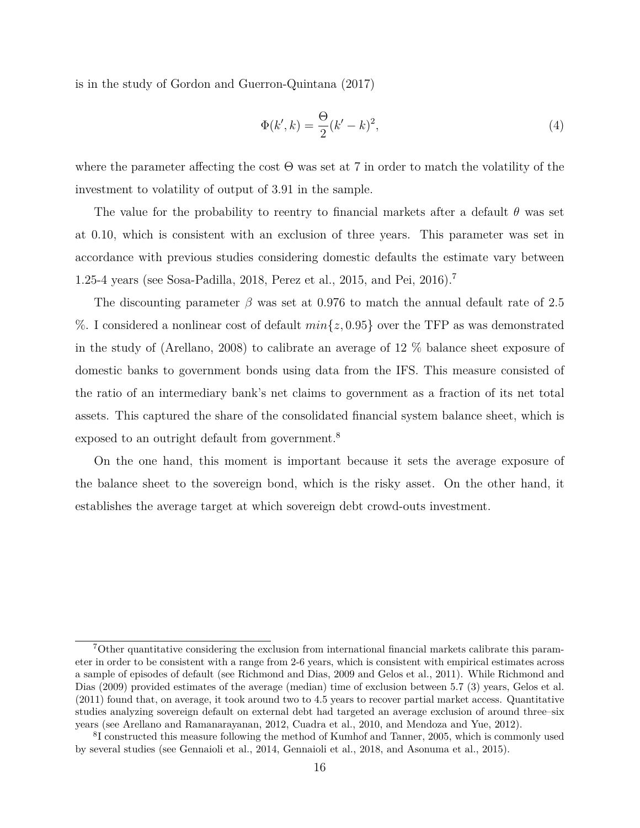is in the study of Gordon and Guerron-Quintana (2017)

$$
\Phi(k',k) = \frac{\Theta}{2}(k'-k)^2,\tag{4}
$$

where the parameter affecting the cost  $\Theta$  was set at 7 in order to match the volatility of the investment to volatility of output of 3.91 in the sample.

The value for the probability to reentry to financial markets after a default *θ* was set at 0.10, which is consistent with an exclusion of three years. This parameter was set in accordance with previous studies considering domestic defaults the estimate vary between 1.25-4 years (see Sosa-Padilla, 2018, Perez et al., 2015, and Pei, 2016).<sup>7</sup>

The discounting parameter *β* was set at 0.976 to match the annual default rate of 2.5 %. I considered a nonlinear cost of default *min{z,* 0*.*95*}* over the TFP as was demonstrated in the study of (Arellano, 2008) to calibrate an average of 12 % balance sheet exposure of domestic banks to government bonds using data from the IFS. This measure consisted of the ratio of an intermediary bank's net claims to government as a fraction of its net total assets. This captured the share of the consolidated financial system balance sheet, which is exposed to an outright default from government.<sup>8</sup>

On the one hand, this moment is important because it sets the average exposure of the balance sheet to the sovereign bond, which is the risky asset. On the other hand, it establishes the average target at which sovereign debt crowd-outs investment.

<sup>7</sup>Other quantitative considering the exclusion from international financial markets calibrate this parameter in order to be consistent with a range from 2-6 years, which is consistent with empirical estimates across a sample of episodes of default (see Richmond and Dias, 2009 and Gelos et al., 2011). While Richmond and Dias (2009) provided estimates of the average (median) time of exclusion between 5.7 (3) years, Gelos et al. (2011) found that, on average, it took around two to 4.5 years to recover partial market access. Quantitative studies analyzing sovereign default on external debt had targeted an average exclusion of around three–six years (see Arellano and Ramanarayanan, 2012, Cuadra et al., 2010, and Mendoza and Yue, 2012).

<sup>&</sup>lt;sup>8</sup>I constructed this measure following the method of Kumhof and Tanner, 2005, which is commonly used by several studies (see Gennaioli et al., 2014, Gennaioli et al., 2018, and Asonuma et al., 2015).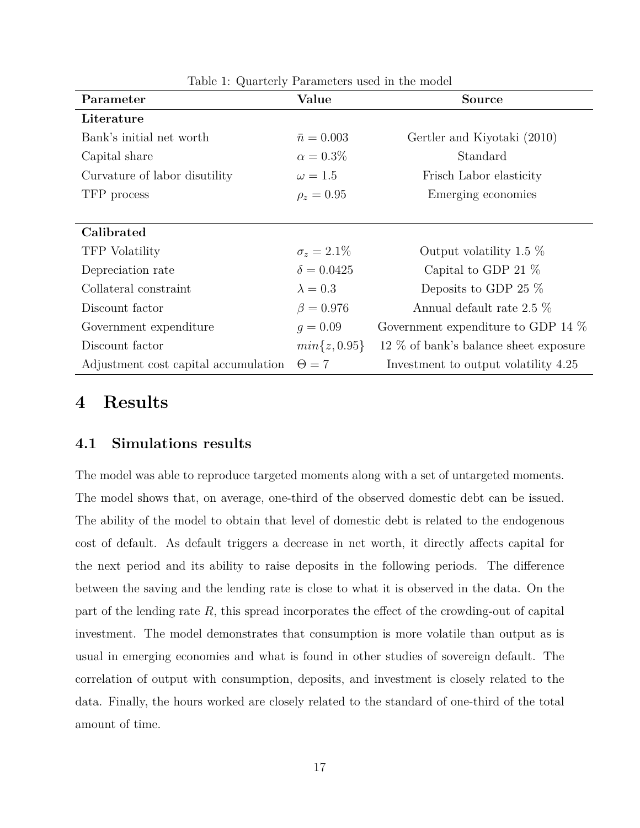| Parameter                            | Value              | <b>Source</b>                         |
|--------------------------------------|--------------------|---------------------------------------|
| Literature                           |                    |                                       |
| Bank's initial net worth             | $\bar{n} = 0.003$  | Gertler and Kiyotaki (2010)           |
| Capital share                        | $\alpha = 0.3\%$   | Standard                              |
| Curvature of labor disutility        | $\omega = 1.5$     | Frisch Labor elasticity               |
| TFP process                          | $\rho_z = 0.95$    | Emerging economies                    |
|                                      |                    |                                       |
| Calibrated                           |                    |                                       |
| <b>TFP</b> Volatility                | $\sigma_z = 2.1\%$ | Output volatility 1.5 $\%$            |
| Depreciation rate                    | $\delta = 0.0425$  | Capital to GDP 21 $\%$                |
| Collateral constraint                | $\lambda = 0.3$    | Deposits to GDP 25 $%$                |
| Discount factor                      | $\beta = 0.976$    | Annual default rate 2.5 $\%$          |
| Government expenditure               | $q = 0.09$         | Government expenditure to GDP 14 $%$  |
| Discount factor                      | $min\{z, 0.95\}$   | 12 % of bank's balance sheet exposure |
| Adjustment cost capital accumulation | $\Theta = 7$       | Investment to output volatility 4.25  |

Table 1: Quarterly Parameters used in the model

## **4 Results**

#### **4.1 Simulations results**

The model was able to reproduce targeted moments along with a set of untargeted moments. The model shows that, on average, one-third of the observed domestic debt can be issued. The ability of the model to obtain that level of domestic debt is related to the endogenous cost of default. As default triggers a decrease in net worth, it directly affects capital for the next period and its ability to raise deposits in the following periods. The difference between the saving and the lending rate is close to what it is observed in the data. On the part of the lending rate *R*, this spread incorporates the effect of the crowding-out of capital investment. The model demonstrates that consumption is more volatile than output as is usual in emerging economies and what is found in other studies of sovereign default. The correlation of output with consumption, deposits, and investment is closely related to the data. Finally, the hours worked are closely related to the standard of one-third of the total amount of time.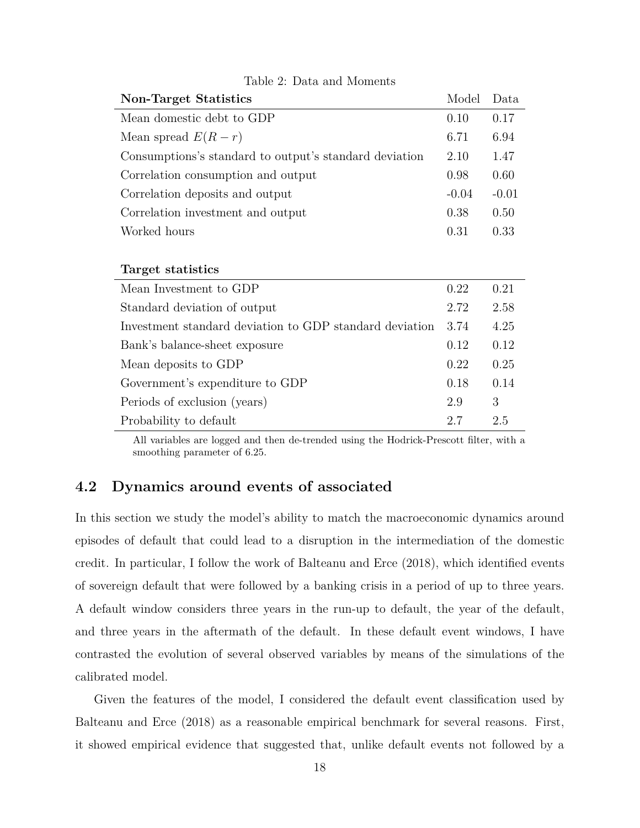| Model   | Data    |
|---------|---------|
| 0.10    | 0.17    |
| 6.71    | 6.94    |
| 2.10    | 1.47    |
| 0.98    | 0.60    |
| $-0.04$ | $-0.01$ |
| 0.38    | 0.50    |
| 0.31    | 0.33    |
|         |         |

Table 2: Data and Moments

| Target statistics                                       |      |      |
|---------------------------------------------------------|------|------|
| Mean Investment to GDP                                  | 0.22 | 0.21 |
| Standard deviation of output                            | 2.72 | 2.58 |
| Investment standard deviation to GDP standard deviation | 3.74 | 4.25 |
| Bank's balance-sheet exposure                           | 0.12 | 0.12 |
| Mean deposits to GDP                                    | 0.22 | 0.25 |
| Government's expenditure to GDP                         | 0.18 | 0.14 |
| Periods of exclusion (years)                            | 2.9  | 3    |
| Probability to default                                  | 2.7  | 2.5  |

All variables are logged and then de-trended using the Hodrick-Prescott filter, with a smoothing parameter of 6.25.

#### **4.2 Dynamics around events of associated**

In this section we study the model's ability to match the macroeconomic dynamics around episodes of default that could lead to a disruption in the intermediation of the domestic credit. In particular, I follow the work of Balteanu and Erce (2018), which identified events of sovereign default that were followed by a banking crisis in a period of up to three years. A default window considers three years in the run-up to default, the year of the default, and three years in the aftermath of the default. In these default event windows, I have contrasted the evolution of several observed variables by means of the simulations of the calibrated model.

Given the features of the model, I considered the default event classification used by Balteanu and Erce (2018) as a reasonable empirical benchmark for several reasons. First, it showed empirical evidence that suggested that, unlike default events not followed by a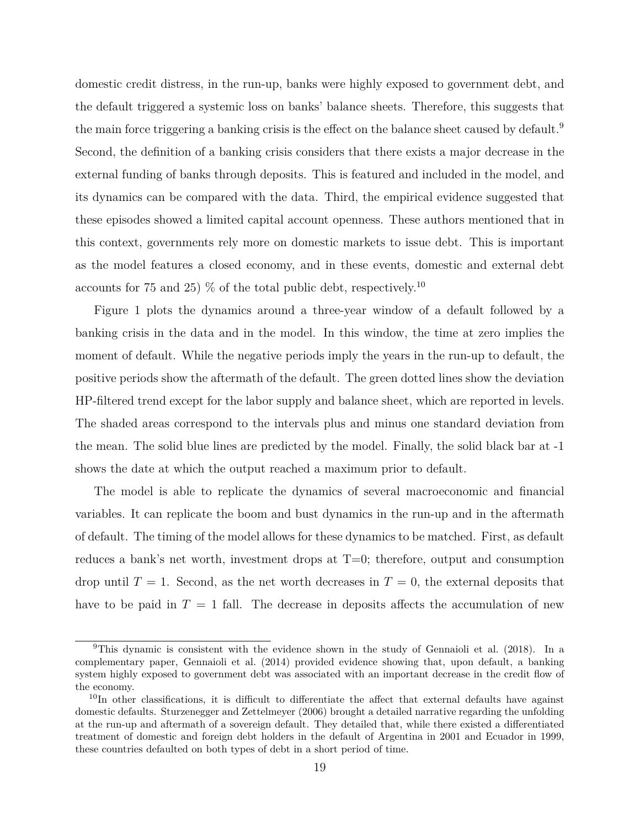domestic credit distress, in the run-up, banks were highly exposed to government debt, and the default triggered a systemic loss on banks' balance sheets. Therefore, this suggests that the main force triggering a banking crisis is the effect on the balance sheet caused by default.<sup>9</sup> Second, the definition of a banking crisis considers that there exists a major decrease in the external funding of banks through deposits. This is featured and included in the model, and its dynamics can be compared with the data. Third, the empirical evidence suggested that these episodes showed a limited capital account openness. These authors mentioned that in this context, governments rely more on domestic markets to issue debt. This is important as the model features a closed economy, and in these events, domestic and external debt accounts for 75 and 25)  $\%$  of the total public debt, respectively.<sup>10</sup>

Figure 1 plots the dynamics around a three-year window of a default followed by a banking crisis in the data and in the model. In this window, the time at zero implies the moment of default. While the negative periods imply the years in the run-up to default, the positive periods show the aftermath of the default. The green dotted lines show the deviation HP-filtered trend except for the labor supply and balance sheet, which are reported in levels. The shaded areas correspond to the intervals plus and minus one standard deviation from the mean. The solid blue lines are predicted by the model. Finally, the solid black bar at -1 shows the date at which the output reached a maximum prior to default.

The model is able to replicate the dynamics of several macroeconomic and financial variables. It can replicate the boom and bust dynamics in the run-up and in the aftermath of default. The timing of the model allows for these dynamics to be matched. First, as default reduces a bank's net worth, investment drops at  $T=0$ ; therefore, output and consumption drop until  $T = 1$ . Second, as the net worth decreases in  $T = 0$ , the external deposits that have to be paid in  $T = 1$  fall. The decrease in deposits affects the accumulation of new

<sup>9</sup>This dynamic is consistent with the evidence shown in the study of Gennaioli et al. (2018). In a complementary paper, Gennaioli et al. (2014) provided evidence showing that, upon default, a banking system highly exposed to government debt was associated with an important decrease in the credit flow of the economy.

<sup>&</sup>lt;sup>10</sup>In other classifications, it is difficult to differentiate the affect that external defaults have against domestic defaults. Sturzenegger and Zettelmeyer (2006) brought a detailed narrative regarding the unfolding at the run-up and aftermath of a sovereign default. They detailed that, while there existed a differentiated treatment of domestic and foreign debt holders in the default of Argentina in 2001 and Ecuador in 1999, these countries defaulted on both types of debt in a short period of time.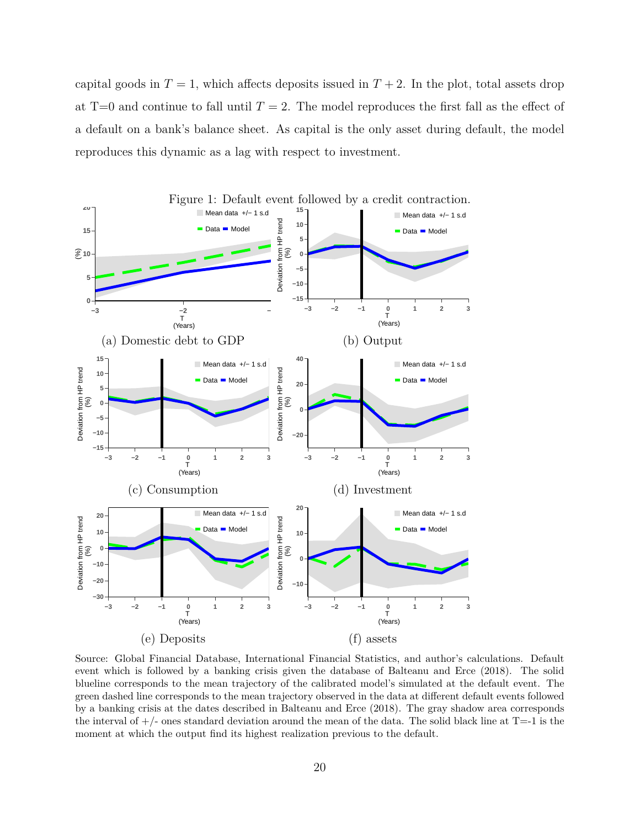capital goods in  $T = 1$ , which affects deposits issued in  $T + 2$ . In the plot, total assets drop at  $T=0$  and continue to fall until  $T=2$ . The model reproduces the first fall as the effect of a default on a bank's balance sheet. As capital is the only asset during default, the model reproduces this dynamic as a lag with respect to investment.



Source: Global Financial Database, International Financial Statistics, and author's calculations. Default event which is followed by a banking crisis given the database of Balteanu and Erce (2018). The solid blueline corresponds to the mean trajectory of the calibrated model's simulated at the default event. The green dashed line corresponds to the mean trajectory observed in the data at different default events followed by a banking crisis at the dates described in Balteanu and Erce (2018). The gray shadow area corresponds the interval of  $+/-$  ones standard deviation around the mean of the data. The solid black line at T=-1 is the moment at which the output find its highest realization previous to the default.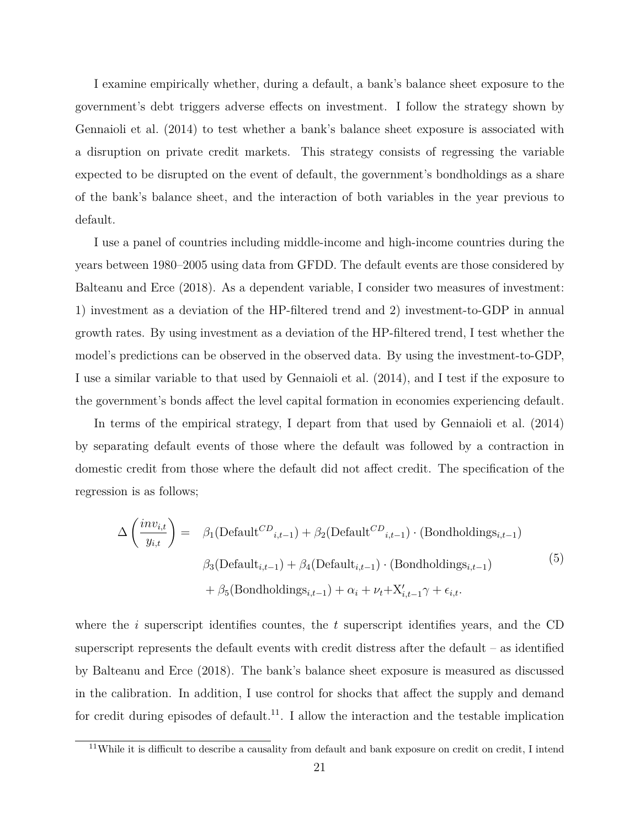I examine empirically whether, during a default, a bank's balance sheet exposure to the government's debt triggers adverse effects on investment. I follow the strategy shown by Gennaioli et al. (2014) to test whether a bank's balance sheet exposure is associated with a disruption on private credit markets. This strategy consists of regressing the variable expected to be disrupted on the event of default, the government's bondholdings as a share of the bank's balance sheet, and the interaction of both variables in the year previous to default.

I use a panel of countries including middle-income and high-income countries during the years between 1980–2005 using data from GFDD. The default events are those considered by Balteanu and Erce (2018). As a dependent variable, I consider two measures of investment: 1) investment as a deviation of the HP-filtered trend and 2) investment-to-GDP in annual growth rates. By using investment as a deviation of the HP-filtered trend, I test whether the model's predictions can be observed in the observed data. By using the investment-to-GDP, I use a similar variable to that used by Gennaioli et al. (2014), and I test if the exposure to the government's bonds affect the level capital formation in economies experiencing default.

In terms of the empirical strategy, I depart from that used by Gennaioli et al. (2014) by separating default events of those where the default was followed by a contraction in domestic credit from those where the default did not affect credit. The specification of the regression is as follows;

$$
\Delta\left(\frac{inv_{i,t}}{y_{i,t}}\right) = \beta_1(\text{Default}^{CD}_{i,t-1}) + \beta_2(\text{Default}^{CD}_{i,t-1}) \cdot (\text{Bondholdings}_{i,t-1})
$$

$$
\beta_3(\text{Default}_{i,t-1}) + \beta_4(\text{Default}_{i,t-1}) \cdot (\text{Bondholdings}_{i,t-1})
$$

$$
+ \beta_5(\text{Bondholdings}_{i,t-1}) + \alpha_i + \nu_t + \mathbf{X}'_{i,t-1} \gamma + \epsilon_{i,t}.
$$

$$
(5)
$$

where the *i* superscript identifies countes, the *t* superscript identifies years, and the CD superscript represents the default events with credit distress after the default  $-$  as identified by Balteanu and Erce (2018). The bank's balance sheet exposure is measured as discussed in the calibration. In addition, I use control for shocks that affect the supply and demand for credit during episodes of default.<sup>11</sup>. I allow the interaction and the testable implication

<sup>&</sup>lt;sup>11</sup>While it is difficult to describe a causality from default and bank exposure on credit on credit, I intend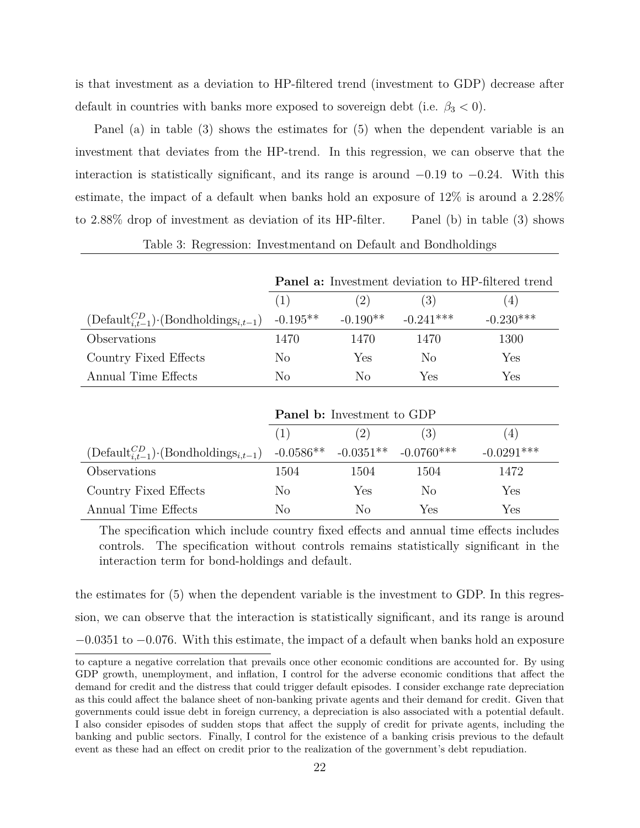is that investment as a deviation to HP-filtered trend (investment to GDP) decrease after default in countries with banks more exposed to sovereign debt (i.e.  $\beta_3 < 0$ ).

Panel (a) in table (3) shows the estimates for (5) when the dependent variable is an investment that deviates from the HP-trend. In this regression, we can observe that the interaction is statistically significant, and its range is around *−*0*.*19 to *−*0*.*24. With this estimate, the impact of a default when banks hold an exposure of 12% is around a 2*.*28% to 2*.*88% drop of investment as deviation of its HP-filter. Panel (b) in table (3) shows

|                                                                                         |      | Panel a: Investment deviation to HP-filtered trend |             |             |  |
|-----------------------------------------------------------------------------------------|------|----------------------------------------------------|-------------|-------------|--|
|                                                                                         | (1)  | (2)                                                | (3)         | 4)          |  |
| $(\text{Default}_{i,t-1}^{CD})$ . (Bondholdings <sub>i,t-1</sub> ) -0.195 <sup>**</sup> |      | $-0.190**$                                         | $-0.241***$ | $-0.230***$ |  |
| Observations                                                                            | 1470 | 1470                                               | 1470        | 1300        |  |
| Country Fixed Effects                                                                   | No   | Yes                                                | No          | Yes         |  |
| Annual Time Effects                                                                     | No   | Nο                                                 | Yes         | Yes         |  |

#### Table 3: Regression: Investmentand on Default and Bondholdings

|                                                        | <b>Panel b:</b> Investment to GDP |      |                                      |              |  |
|--------------------------------------------------------|-----------------------------------|------|--------------------------------------|--------------|--|
|                                                        | (1)                               | (2)  | (4)                                  |              |  |
| $(Default_{i,t-1}^{CD}) \cdot (Bondholding s_{i,t-1})$ |                                   |      | $-0.0586**$ $-0.0351**$ $-0.0760***$ | $-0.0291***$ |  |
| Observations                                           | 1504                              | 1504 | 1504                                 | 1472         |  |
| Country Fixed Effects                                  | No                                | Yes  | No                                   | Yes          |  |
| Annual Time Effects                                    | No                                | Nο   | Yes                                  | Yes          |  |

The specification which include country fixed effects and annual time effects includes controls. The specification without controls remains statistically significant in the interaction term for bond-holdings and default.

the estimates for (5) when the dependent variable is the investment to GDP. In this regression, we can observe that the interaction is statistically significant, and its range is around *−*0*.*0351 to *−*0*.*076. With this estimate, the impact of a default when banks hold an exposure

to capture a negative correlation that prevails once other economic conditions are accounted for. By using GDP growth, unemployment, and inflation, I control for the adverse economic conditions that affect the demand for credit and the distress that could trigger default episodes. I consider exchange rate depreciation as this could affect the balance sheet of non-banking private agents and their demand for credit. Given that governments could issue debt in foreign currency, a depreciation is also associated with a potential default. I also consider episodes of sudden stops that affect the supply of credit for private agents, including the banking and public sectors. Finally, I control for the existence of a banking crisis previous to the default event as these had an effect on credit prior to the realization of the government's debt repudiation.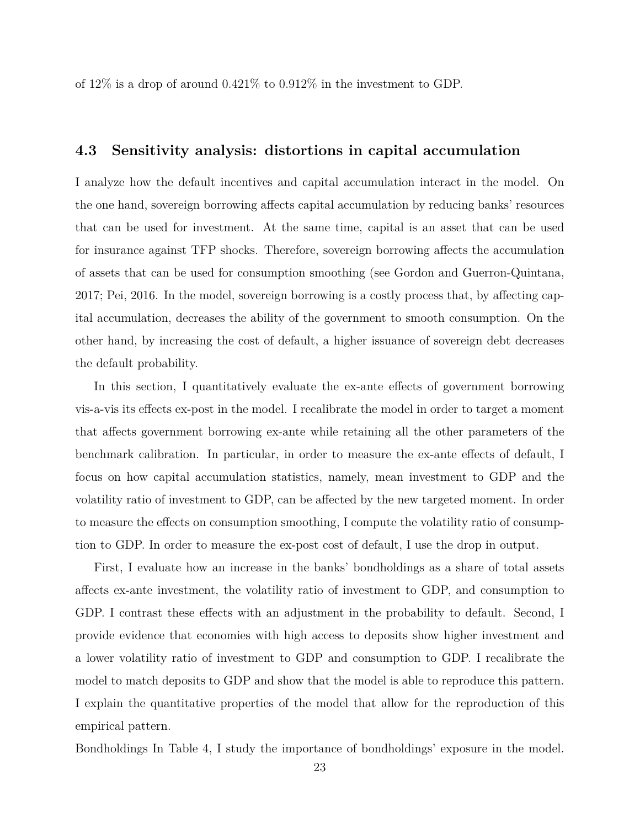of 12% is a drop of around 0*.*421% to 0*.*912% in the investment to GDP.

#### **4.3 Sensitivity analysis: distortions in capital accumulation**

I analyze how the default incentives and capital accumulation interact in the model. On the one hand, sovereign borrowing affects capital accumulation by reducing banks' resources that can be used for investment. At the same time, capital is an asset that can be used for insurance against TFP shocks. Therefore, sovereign borrowing affects the accumulation of assets that can be used for consumption smoothing (see Gordon and Guerron-Quintana, 2017; Pei, 2016. In the model, sovereign borrowing is a costly process that, by affecting capital accumulation, decreases the ability of the government to smooth consumption. On the other hand, by increasing the cost of default, a higher issuance of sovereign debt decreases the default probability.

In this section, I quantitatively evaluate the ex-ante effects of government borrowing vis-a-vis its effects ex-post in the model. I recalibrate the model in order to target a moment that affects government borrowing ex-ante while retaining all the other parameters of the benchmark calibration. In particular, in order to measure the ex-ante effects of default, I focus on how capital accumulation statistics, namely, mean investment to GDP and the volatility ratio of investment to GDP, can be affected by the new targeted moment. In order to measure the effects on consumption smoothing, I compute the volatility ratio of consumption to GDP. In order to measure the ex-post cost of default, I use the drop in output.

First, I evaluate how an increase in the banks' bondholdings as a share of total assets affects ex-ante investment, the volatility ratio of investment to GDP, and consumption to GDP. I contrast these effects with an adjustment in the probability to default. Second, I provide evidence that economies with high access to deposits show higher investment and a lower volatility ratio of investment to GDP and consumption to GDP. I recalibrate the model to match deposits to GDP and show that the model is able to reproduce this pattern. I explain the quantitative properties of the model that allow for the reproduction of this empirical pattern.

Bondholdings In Table 4, I study the importance of bondholdings' exposure in the model.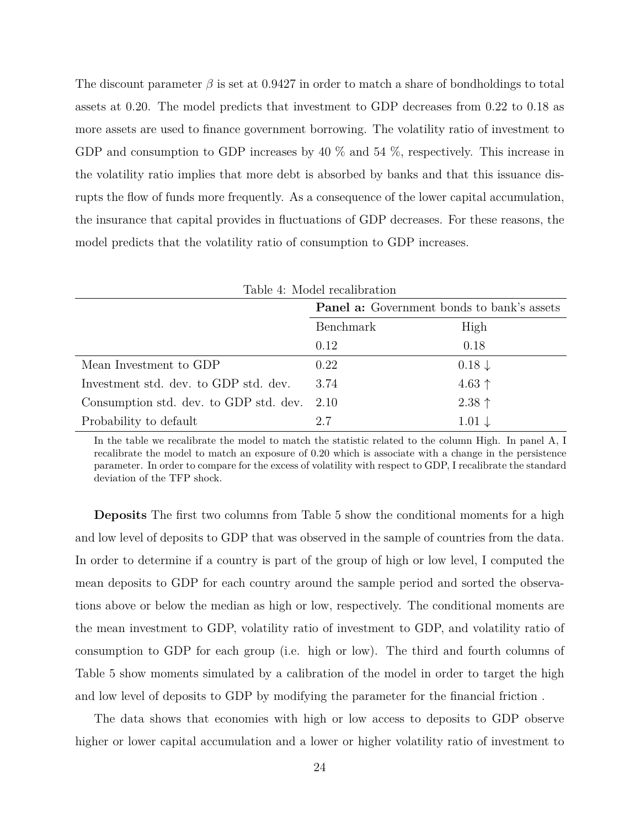The discount parameter *β* is set at 0.9427 in order to match a share of bondholdings to total assets at 0.20. The model predicts that investment to GDP decreases from 0.22 to 0.18 as more assets are used to finance government borrowing. The volatility ratio of investment to GDP and consumption to GDP increases by 40 % and 54 %, respectively. This increase in the volatility ratio implies that more debt is absorbed by banks and that this issuance disrupts the flow of funds more frequently. As a consequence of the lower capital accumulation, the insurance that capital provides in fluctuations of GDP decreases. For these reasons, the model predicts that the volatility ratio of consumption to GDP increases.

| Table 4: Model recalibration           |                                                   |                   |  |
|----------------------------------------|---------------------------------------------------|-------------------|--|
|                                        | <b>Panel a:</b> Government bonds to bank's assets |                   |  |
|                                        | Benchmark                                         | High              |  |
|                                        | 0.12                                              | 0.18              |  |
| Mean Investment to GDP                 | 0.22                                              | $0.18\downarrow$  |  |
| Investment std. dev. to GDP std. dev.  | 3.74                                              | $4.63$ ↑          |  |
| Consumption std. dev. to GDP std. dev. | 2.10                                              | $2.38 \uparrow$   |  |
| Probability to default                 | 2.7                                               | $1.01 \downarrow$ |  |

In the table we recalibrate the model to match the statistic related to the column High. In panel A, I recalibrate the model to match an exposure of 0.20 which is associate with a change in the persistence parameter. In order to compare for the excess of volatility with respect to GDP, I recalibrate the standard deviation of the TFP shock.

**Deposits** The first two columns from Table 5 show the conditional moments for a high and low level of deposits to GDP that was observed in the sample of countries from the data. In order to determine if a country is part of the group of high or low level, I computed the mean deposits to GDP for each country around the sample period and sorted the observations above or below the median as high or low, respectively. The conditional moments are the mean investment to GDP, volatility ratio of investment to GDP, and volatility ratio of consumption to GDP for each group (i.e. high or low). The third and fourth columns of Table 5 show moments simulated by a calibration of the model in order to target the high and low level of deposits to GDP by modifying the parameter for the financial friction .

The data shows that economies with high or low access to deposits to GDP observe higher or lower capital accumulation and a lower or higher volatility ratio of investment to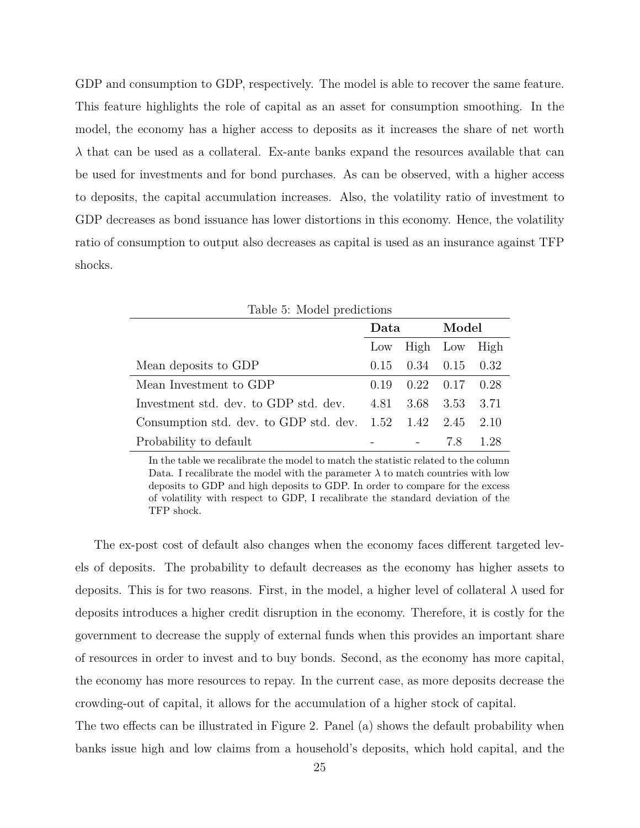GDP and consumption to GDP, respectively. The model is able to recover the same feature. This feature highlights the role of capital as an asset for consumption smoothing. In the model, the economy has a higher access to deposits as it increases the share of net worth *λ* that can be used as a collateral. Ex-ante banks expand the resources available that can be used for investments and for bond purchases. As can be observed, with a higher access to deposits, the capital accumulation increases. Also, the volatility ratio of investment to GDP decreases as bond issuance has lower distortions in this economy. Hence, the volatility ratio of consumption to output also decreases as capital is used as an insurance against TFP shocks.

| Table 5: Model predictions                  |        |               |       |      |
|---------------------------------------------|--------|---------------|-------|------|
|                                             | Data   |               | Model |      |
|                                             | Low    | High Low      |       | High |
| Mean deposits to GDP                        | 0.15   | $0.34$ $0.15$ |       | 0.32 |
| Mean Investment to GDP                      | (1.19) | 0.22          | 0.17  | 0.28 |
| Investment std. dev. to GDP std. dev.       | 4.81   | 3.68          | 3.53  | 3.71 |
| Consumption std. dev. to GDP std. dev. 1.52 |        | 1.42          | 2.45  | 2.10 |
| Probability to default                      |        |               | 7.8   | 1.28 |

In the table we recalibrate the model to match the statistic related to the column Data. I recalibrate the model with the parameter  $\lambda$  to match countries with low deposits to GDP and high deposits to GDP. In order to compare for the excess of volatility with respect to GDP, I recalibrate the standard deviation of the TFP shock.

The ex-post cost of default also changes when the economy faces different targeted levels of deposits. The probability to default decreases as the economy has higher assets to deposits. This is for two reasons. First, in the model, a higher level of collateral  $\lambda$  used for deposits introduces a higher credit disruption in the economy. Therefore, it is costly for the government to decrease the supply of external funds when this provides an important share of resources in order to invest and to buy bonds. Second, as the economy has more capital, the economy has more resources to repay. In the current case, as more deposits decrease the crowding-out of capital, it allows for the accumulation of a higher stock of capital.

The two effects can be illustrated in Figure 2. Panel (a) shows the default probability when banks issue high and low claims from a household's deposits, which hold capital, and the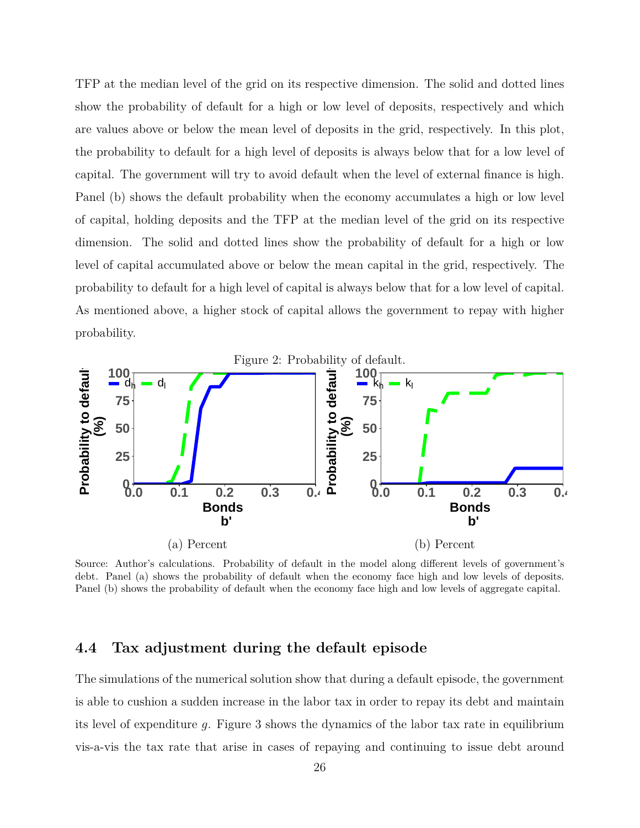TFP at the median level of the grid on its respective dimension. The solid and dotted lines show the probability of default for a high or low level of deposits, respectively and which are values above or below the mean level of deposits in the grid, respectively. In this plot, the probability to default for a high level of deposits is always below that for a low level of capital. The government will try to avoid default when the level of external finance is high. Panel (b) shows the default probability when the economy accumulates a high or low level of capital, holding deposits and the TFP at the median level of the grid on its respective dimension. The solid and dotted lines show the probability of default for a high or low level of capital accumulated above or below the mean capital in the grid, respectively. The probability to default for a high level of capital is always below that for a low level of capital. As mentioned above, a higher stock of capital allows the government to repay with higher probability.



Source: Author's calculations. Probability of default in the model along different levels of government's debt. Panel (a) shows the probability of default when the economy face high and low levels of deposits. Panel (b) shows the probability of default when the economy face high and low levels of aggregate capital.

#### **4.4 Tax adjustment during the default episode**

The simulations of the numerical solution show that during a default episode, the government is able to cushion a sudden increase in the labor tax in order to repay its debt and maintain its level of expenditure *g*. Figure 3 shows the dynamics of the labor tax rate in equilibrium vis-a-vis the tax rate that arise in cases of repaying and continuing to issue debt around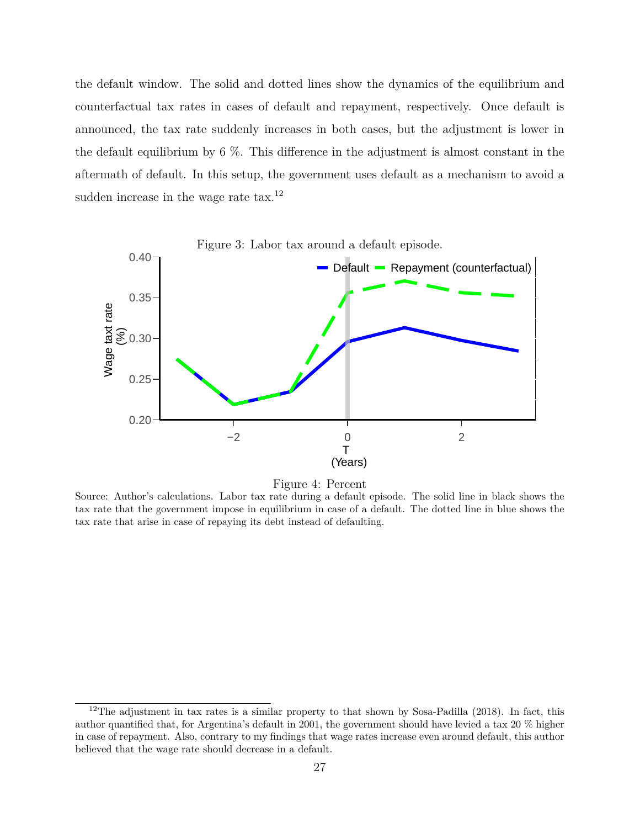the default window. The solid and dotted lines show the dynamics of the equilibrium and counterfactual tax rates in cases of default and repayment, respectively. Once default is announced, the tax rate suddenly increases in both cases, but the adjustment is lower in the default equilibrium by 6 %. This difference in the adjustment is almost constant in the aftermath of default. In this setup, the government uses default as a mechanism to avoid a sudden increase in the wage rate  $\text{tax.}^{12}$ 



Figure 4: Percent

Source: Author's calculations. Labor tax rate during a default episode. The solid line in black shows the tax rate that the government impose in equilibrium in case of a default. The dotted line in blue shows the tax rate that arise in case of repaying its debt instead of defaulting.

 $12$ The adjustment in tax rates is a similar property to that shown by Sosa-Padilla (2018). In fact, this author quantified that, for Argentina's default in 2001, the government should have levied a tax 20 % higher in case of repayment. Also, contrary to my findings that wage rates increase even around default, this author believed that the wage rate should decrease in a default.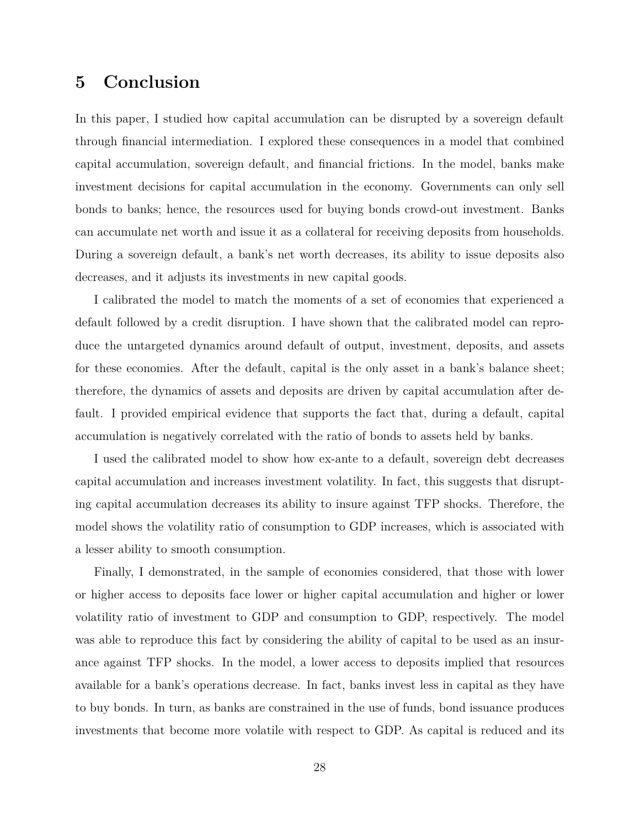## **5 Conclusion**

In this paper, I studied how capital accumulation can be disrupted by a sovereign default through financial intermediation. I explored these consequences in a model that combined capital accumulation, sovereign default, and financial frictions. In the model, banks make investment decisions for capital accumulation in the economy. Governments can only sell bonds to banks; hence, the resources used for buying bonds crowd-out investment. Banks can accumulate net worth and issue it as a collateral for receiving deposits from households. During a sovereign default, a bank's net worth decreases, its ability to issue deposits also decreases, and it adjusts its investments in new capital goods.

I calibrated the model to match the moments of a set of economies that experienced a default followed by a credit disruption. I have shown that the calibrated model can reproduce the untargeted dynamics around default of output, investment, deposits, and assets for these economies. After the default, capital is the only asset in a bank's balance sheet; therefore, the dynamics of assets and deposits are driven by capital accumulation after default. I provided empirical evidence that supports the fact that, during a default, capital accumulation is negatively correlated with the ratio of bonds to assets held by banks.

I used the calibrated model to show how ex-ante to a default, sovereign debt decreases capital accumulation and increases investment volatility. In fact, this suggests that disrupting capital accumulation decreases its ability to insure against TFP shocks. Therefore, the model shows the volatility ratio of consumption to GDP increases, which is associated with a lesser ability to smooth consumption.

Finally, I demonstrated, in the sample of economies considered, that those with lower or higher access to deposits face lower or higher capital accumulation and higher or lower volatility ratio of investment to GDP and consumption to GDP, respectively. The model was able to reproduce this fact by considering the ability of capital to be used as an insurance against TFP shocks. In the model, a lower access to deposits implied that resources available for a bank's operations decrease. In fact, banks invest less in capital as they have to buy bonds. In turn, as banks are constrained in the use of funds, bond issuance produces investments that become more volatile with respect to GDP. As capital is reduced and its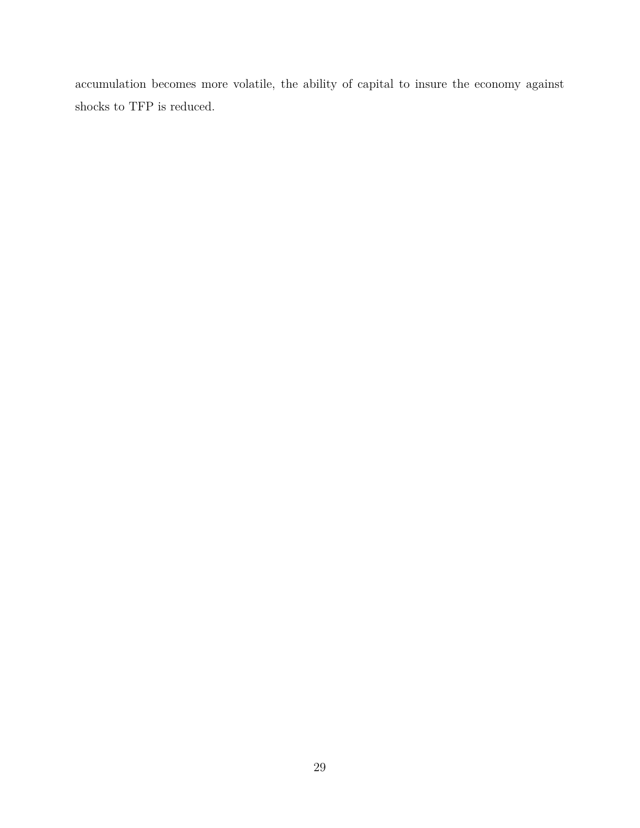accumulation becomes more volatile, the ability of capital to insure the economy against shocks to TFP is reduced.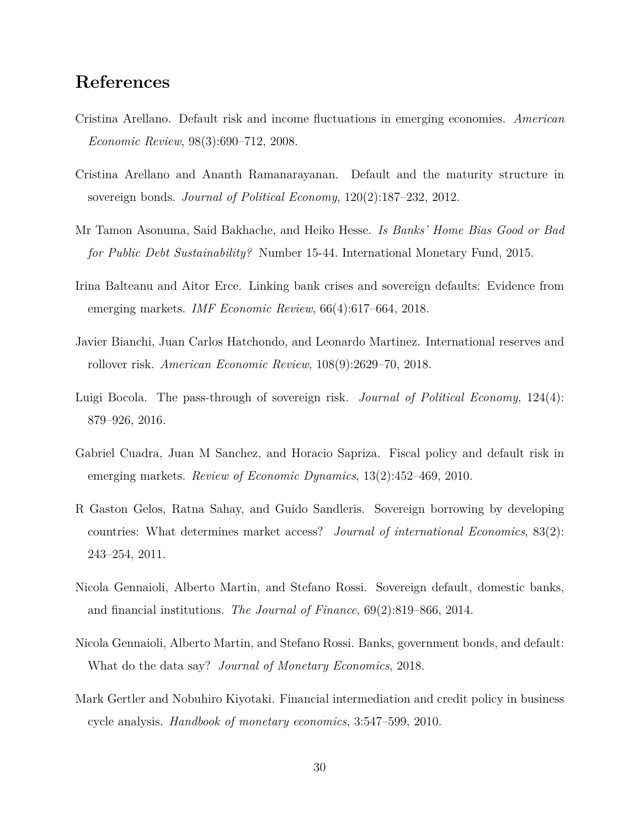## **References**

- Cristina Arellano. Default risk and income fluctuations in emerging economies. *American Economic Review*, 98(3):690–712, 2008.
- Cristina Arellano and Ananth Ramanarayanan. Default and the maturity structure in sovereign bonds. *Journal of Political Economy*, 120(2):187–232, 2012.
- Mr Tamon Asonuma, Said Bakhache, and Heiko Hesse. *Is Banks' Home Bias Good or Bad for Public Debt Sustainability?* Number 15-44. International Monetary Fund, 2015.
- Irina Balteanu and Aitor Erce. Linking bank crises and sovereign defaults: Evidence from emerging markets. *IMF Economic Review*, 66(4):617–664, 2018.
- Javier Bianchi, Juan Carlos Hatchondo, and Leonardo Martinez. International reserves and rollover risk. *American Economic Review*, 108(9):2629–70, 2018.
- Luigi Bocola. The pass-through of sovereign risk. *Journal of Political Economy*, 124(4): 879–926, 2016.
- Gabriel Cuadra, Juan M Sanchez, and Horacio Sapriza. Fiscal policy and default risk in emerging markets. *Review of Economic Dynamics*, 13(2):452–469, 2010.
- R Gaston Gelos, Ratna Sahay, and Guido Sandleris. Sovereign borrowing by developing countries: What determines market access? *Journal of international Economics*, 83(2): 243–254, 2011.
- Nicola Gennaioli, Alberto Martin, and Stefano Rossi. Sovereign default, domestic banks, and financial institutions. *The Journal of Finance*, 69(2):819–866, 2014.
- Nicola Gennaioli, Alberto Martin, and Stefano Rossi. Banks, government bonds, and default: What do the data say? *Journal of Monetary Economics*, 2018.
- Mark Gertler and Nobuhiro Kiyotaki. Financial intermediation and credit policy in business cycle analysis. *Handbook of monetary economics*, 3:547–599, 2010.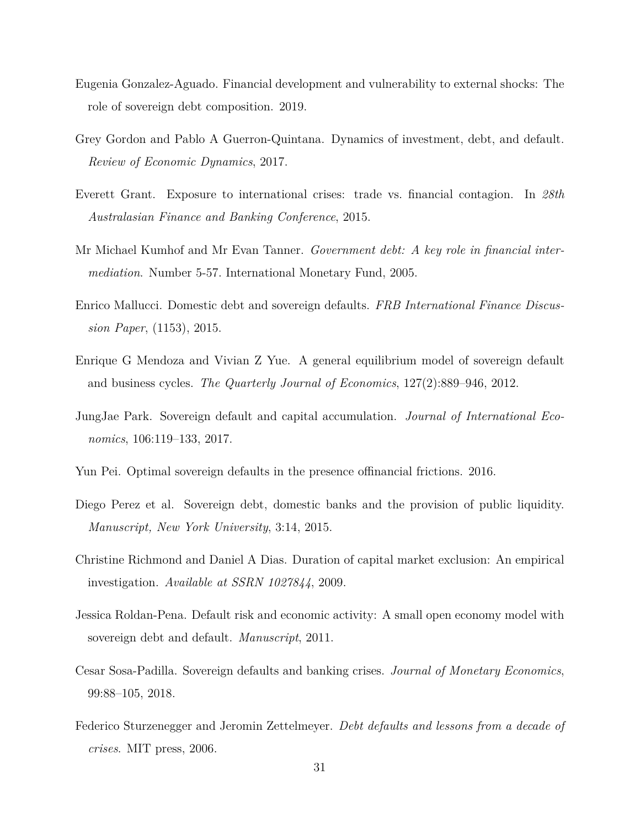- Eugenia Gonzalez-Aguado. Financial development and vulnerability to external shocks: The role of sovereign debt composition. 2019.
- Grey Gordon and Pablo A Guerron-Quintana. Dynamics of investment, debt, and default. *Review of Economic Dynamics*, 2017.
- Everett Grant. Exposure to international crises: trade vs. financial contagion. In *28th Australasian Finance and Banking Conference*, 2015.
- Mr Michael Kumhof and Mr Evan Tanner. *Government debt: A key role in financial intermediation*. Number 5-57. International Monetary Fund, 2005.
- Enrico Mallucci. Domestic debt and sovereign defaults. *FRB International Finance Discussion Paper*, (1153), 2015.
- Enrique G Mendoza and Vivian Z Yue. A general equilibrium model of sovereign default and business cycles. *The Quarterly Journal of Economics*, 127(2):889–946, 2012.
- JungJae Park. Sovereign default and capital accumulation. *Journal of International Economics*, 106:119–133, 2017.
- Yun Pei. Optimal sovereign defaults in the presence offinancial frictions. 2016.
- Diego Perez et al. Sovereign debt, domestic banks and the provision of public liquidity. *Manuscript, New York University*, 3:14, 2015.
- Christine Richmond and Daniel A Dias. Duration of capital market exclusion: An empirical investigation. *Available at SSRN 1027844*, 2009.
- Jessica Roldan-Pena. Default risk and economic activity: A small open economy model with sovereign debt and default. *Manuscript*, 2011.
- Cesar Sosa-Padilla. Sovereign defaults and banking crises. *Journal of Monetary Economics*, 99:88–105, 2018.
- Federico Sturzenegger and Jeromin Zettelmeyer. *Debt defaults and lessons from a decade of crises*. MIT press, 2006.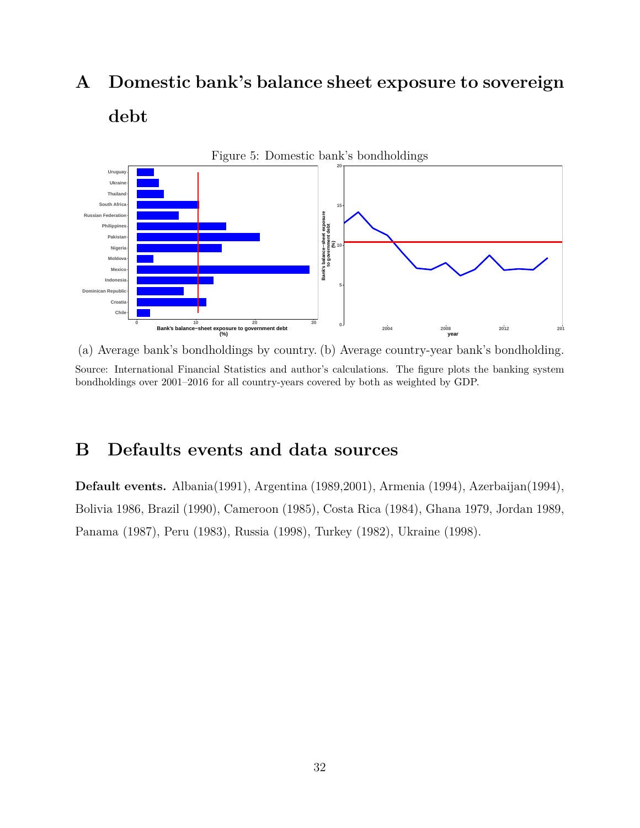## **A Domestic bank's balance sheet exposure to sovereign debt**



(a) Average bank's bondholdings by country. (b) Average country-year bank's bondholding. Source: International Financial Statistics and author's calculations. The figure plots the banking system bondholdings over 2001–2016 for all country-years covered by both as weighted by GDP.

## **B Defaults events and data sources**

**Default events.** Albania(1991), Argentina (1989,2001), Armenia (1994), Azerbaijan(1994), Bolivia 1986, Brazil (1990), Cameroon (1985), Costa Rica (1984), Ghana 1979, Jordan 1989, Panama (1987), Peru (1983), Russia (1998), Turkey (1982), Ukraine (1998).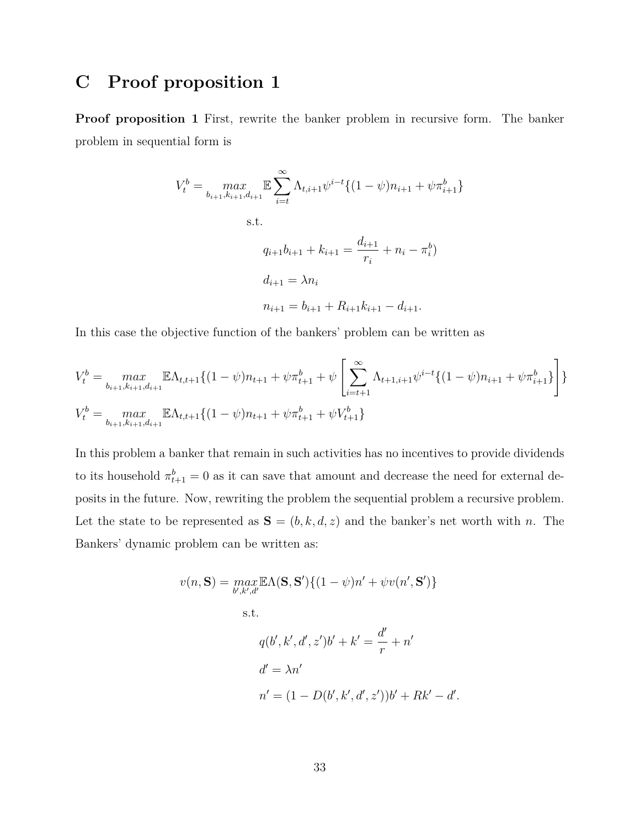## **C Proof proposition 1**

**Proof proposition 1** First, rewrite the banker problem in recursive form. The banker problem in sequential form is

$$
V_t^b = \max_{b_{i+1}, k_{i+1}, d_{i+1}} \mathbb{E} \sum_{i=t}^{\infty} \Lambda_{t, i+1} \psi^{i-t} \{ (1 - \psi) n_{i+1} + \psi \pi_{i+1}^b \}
$$
  
s.t.  

$$
q_{i+1} b_{i+1} + k_{i+1} = \frac{d_{i+1}}{r_i} + n_i - \pi_i^b)
$$

$$
d_{i+1} = \lambda n_i
$$

$$
n_{i+1} = b_{i+1} + R_{i+1} k_{i+1} - d_{i+1}.
$$

In this case the objective function of the bankers' problem can be written as

$$
V_t^b = \max_{b_{i+1}, k_{i+1}, d_{i+1}} \mathbb{E} \Lambda_{t, t+1} \{(1-\psi)n_{t+1} + \psi \pi_{t+1}^b + \psi \left[ \sum_{i=t+1}^{\infty} \Lambda_{t+1, i+1} \psi^{i-t} \{(1-\psi)n_{i+1} + \psi \pi_{i+1}^b \} \right] \}
$$
  

$$
V_t^b = \max_{b_{i+1}, k_{i+1}, d_{i+1}} \mathbb{E} \Lambda_{t, t+1} \{(1-\psi)n_{t+1} + \psi \pi_{t+1}^b + \psi V_{t+1}^b \}
$$

In this problem a banker that remain in such activities has no incentives to provide dividends to its household  $\pi_{t+1}^b = 0$  as it can save that amount and decrease the need for external deposits in the future. Now, rewriting the problem the sequential problem a recursive problem. Let the state to be represented as  $S = (b, k, d, z)$  and the banker's net worth with *n*. The Bankers' dynamic problem can be written as:

$$
v(n, \mathbf{S}) = \max_{b', k', d'} \mathbb{E}\Lambda(\mathbf{S}, \mathbf{S}') \{ (1 - \psi)n' + \psi v(n', \mathbf{S}') \}
$$
  
s.t.  

$$
q(b', k', d', z')b' + k' = \frac{d'}{r} + n'
$$

$$
d' = \lambda n'
$$

$$
n' = (1 - D(b', k', d', z'))b' + Rk' - d
$$

*′ .*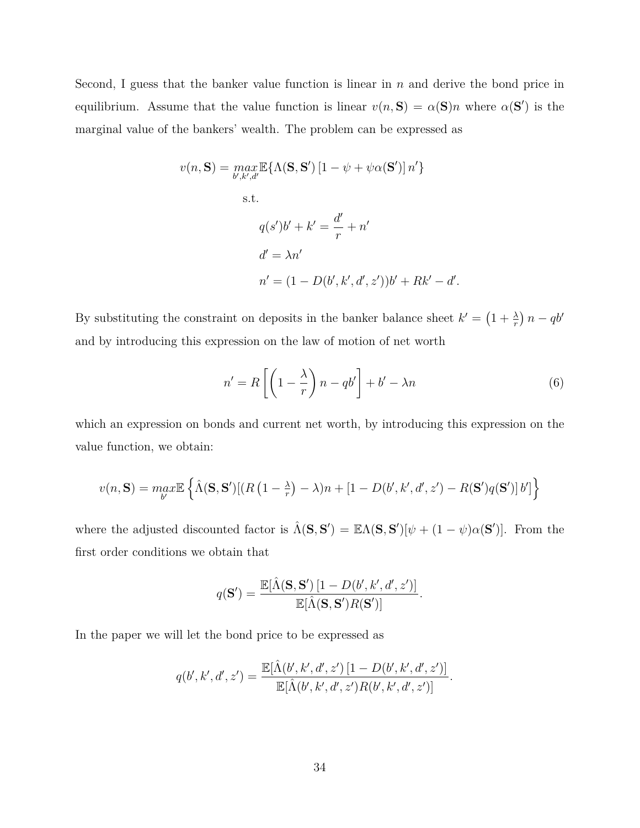Second, I guess that the banker value function is linear in *n* and derive the bond price in equilibrium. Assume that the value function is linear  $v(n, S) = \alpha(S)n$  where  $\alpha(S')$  is the marginal value of the bankers' wealth. The problem can be expressed as

$$
v(n, \mathbf{S}) = \max_{b', k', d'} \mathbb{E} \{ \Lambda(\mathbf{S}, \mathbf{S}') [1 - \psi + \psi \alpha(\mathbf{S}')] n' \}
$$
  
s.t.  

$$
q(s')b' + k' = \frac{d'}{r} + n'
$$

$$
d' = \lambda n'
$$

$$
n' = (1 - D(b', k', d', z'))b' + Rk' - d'.
$$

By substituting the constraint on deposits in the banker balance sheet  $k' = \left(1 + \frac{\lambda}{r}\right)n - qb'$ and by introducing this expression on the law of motion of net worth

$$
n' = R\left[\left(1 - \frac{\lambda}{r}\right)n - qb'\right] + b' - \lambda n\tag{6}
$$

which an expression on bonds and current net worth, by introducing this expression on the value function, we obtain:

$$
v(n, \mathbf{S}) = \max_{b'} \mathbb{E} \left\{ \hat{\Lambda}(\mathbf{S}, \mathbf{S'}) [(R(1-\frac{\lambda}{r}) - \lambda)n + [1 - D(b', k', d', z') - R(\mathbf{S'})q(\mathbf{S'})] b'] \right\}
$$

where the adjusted discounted factor is  $\hat{\Lambda}(\mathbf{S}, \mathbf{S}') = \mathbb{E}\Lambda(\mathbf{S}, \mathbf{S}')[\psi + (1 - \psi)\alpha(\mathbf{S}')].$  From the first order conditions we obtain that

$$
q(\mathbf{S}') = \frac{\mathbb{E}[\hat{\Lambda}(\mathbf{S}, \mathbf{S}') [1 - D(b', k', d', z')] }{\mathbb{E}[\hat{\Lambda}(\mathbf{S}, \mathbf{S}') R(\mathbf{S}')]}.
$$

In the paper we will let the bond price to be expressed as

$$
q(b',k',d',z') = \frac{\mathbb{E}[\hat{\Lambda}(b',k',d',z')\left[1-D(b',k',d',z')\right]}{\mathbb{E}[\hat{\Lambda}(b',k',d',z')R(b',k',d',z')]}.
$$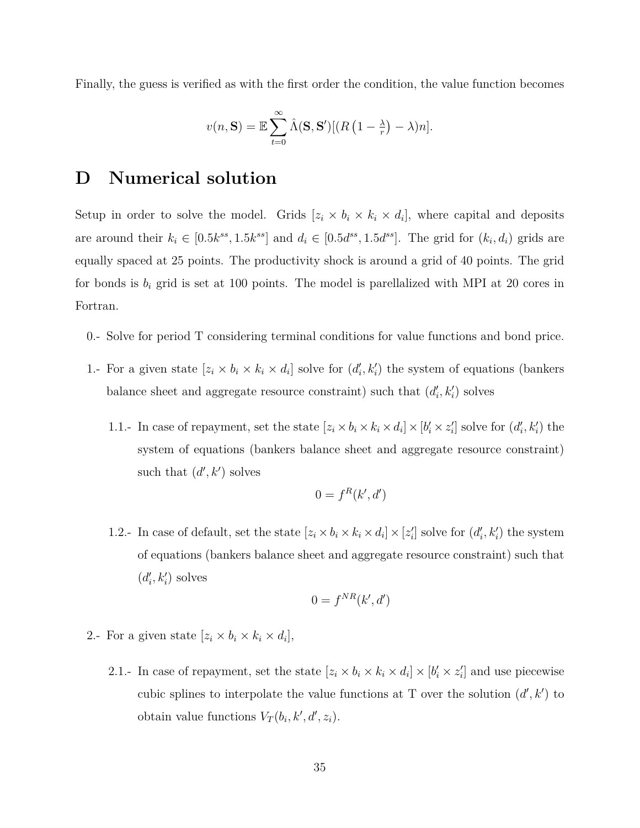Finally, the guess is verified as with the first order the condition, the value function becomes

$$
v(n, \mathbf{S}) = \mathbb{E} \sum_{t=0}^{\infty} \hat{\Lambda}(\mathbf{S}, \mathbf{S}') [(R(1 - \frac{\lambda}{r}) - \lambda)n].
$$

## **D Numerical solution**

Setup in order to solve the model. Grids  $[z_i \times b_i \times k_i \times d_i]$ , where capital and deposits are around their  $k_i \in [0.5k^{ss}, 1.5k^{ss}]$  and  $d_i \in [0.5d^{ss}, 1.5d^{ss}]$ . The grid for  $(k_i, d_i)$  grids are equally spaced at 25 points. The productivity shock is around a grid of 40 points. The grid for bonds is  $b_i$  grid is set at 100 points. The model is parellalized with MPI at 20 cores in Fortran.

- 0.- Solve for period T considering terminal conditions for value functions and bond price.
- 1.- For a given state  $[z_i \times b_i \times k_i \times d_i]$  solve for  $(d'_i, k'_i)$  the system of equations (bankers balance sheet and aggregate resource constraint) such that  $(d'_{i}, k'_{i})$  solves
	- 1.1.- In case of repayment, set the state  $[z_i \times b_i \times k_i \times d_i] \times [b'_i \times z'_i]$  solve for  $(d'_i, k'_i)$  the system of equations (bankers balance sheet and aggregate resource constraint) such that  $(d', k')$  solves

$$
0 = f^R(k', d')
$$

1.2.- In case of default, set the state  $[z_i \times b_i \times k_i \times d_i] \times [z'_i]$  solve for  $(d'_i, k'_i)$  the system of equations (bankers balance sheet and aggregate resource constraint) such that  $(d'_{i}, k'_{i})$  solves

$$
0 = f^{NR}(k', d')
$$

- 2.- For a given state  $[z_i \times b_i \times k_i \times d_i],$ 
	- 2.1.- In case of repayment, set the state  $[z_i \times b_i \times k_i \times d_i] \times [b'_i \times z'_i]$  and use piecewise cubic splines to interpolate the value functions at T over the solution  $(d', k')$  to obtain value functions  $V_T(b_i, k', d', z_i)$ .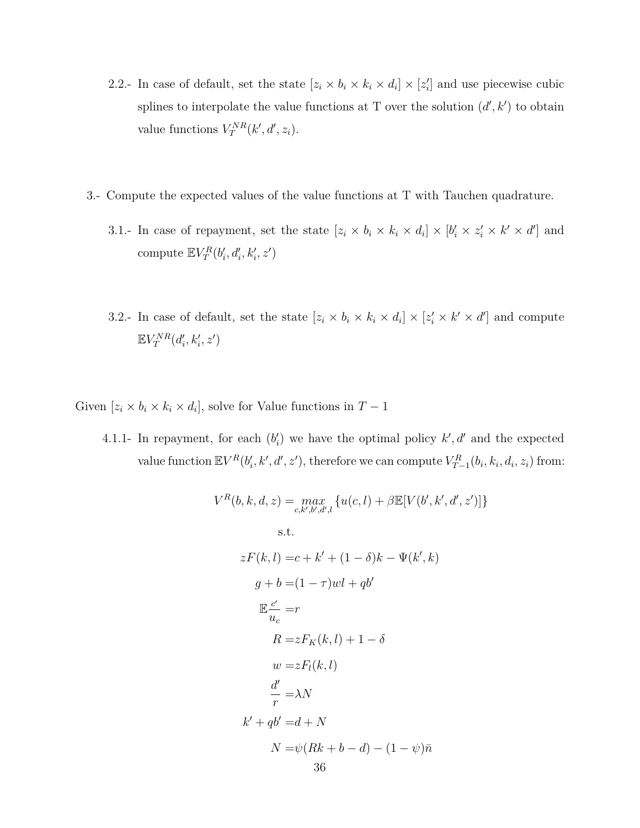- 2.2.- In case of default, set the state  $[z_i \times b_i \times k_i \times d_i] \times [z'_i]$  and use piecewise cubic splines to interpolate the value functions at T over the solution  $(d', k')$  to obtain value functions  $V_T^{NR}(k', d', z_i)$ .
- 3.- Compute the expected values of the value functions at T with Tauchen quadrature.
	- 3.1.- In case of repayment, set the state  $[z_i \times b_i \times k_i \times d_i] \times [b'_i \times z'_i \times k' \times d']$  and compute  $\mathbb{E} V_T^R(b'_i, d'_i, k'_i, z')$
	- 3.2.- In case of default, set the state  $[z_i \times b_i \times k_i \times d_i] \times [z'_i \times k' \times d']$  and compute  $\mathbb{E} V_T^{NR}(d'_i, k'_i, z')$

Given  $[z_i \times b_i \times k_i \times d_i]$ , solve for Value functions in  $T-1$ 

4.1.1- In repayment, for each  $(b'_i)$  we have the optimal policy  $k', d'$  and the expected value function  $\mathbb{E}V^{R}(b'_{i},k',d',z')$ , therefore we can compute  $V_{T-1}^{R}(b_{i},k_{i},d_{i},z_{i})$  from:

$$
V^{R}(b, k, d, z) = \max_{c, k', b', d', l} \{u(c, l) + \beta \mathbb{E}[V(b', k', d', z')] \}
$$
  
s.t.  

$$
zF(k, l) = c + k' + (1 - \delta)k - \Psi(k', k)
$$

$$
g + b = (1 - \tau)wl + qb'
$$

$$
\mathbb{E} \frac{c'}{u_c} = r
$$

$$
R = zF_K(k, l) + 1 - \delta
$$

$$
w = zF_l(k, l)
$$

$$
\frac{d'}{r} = \lambda N
$$

$$
k' + qb' = d + N
$$

$$
N = \psi(Rk + b - d) - (1 - \psi)\bar{n}
$$